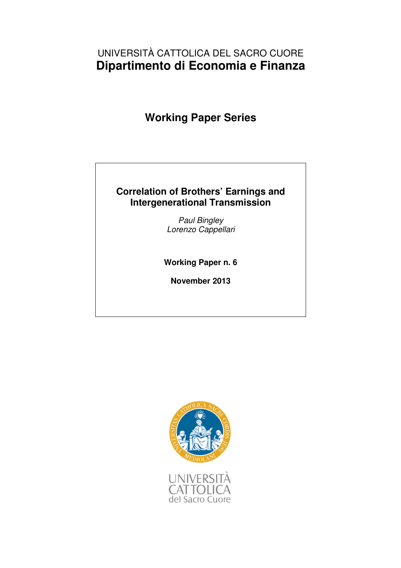### UNIVERSITÀ CATTOLICA DEL SACRO CUORE **Dipartimento di Economia e Finanza**

## **Working Paper Series**

### **Correlation of Brothers' Earnings and Intergenerational Transmission**

Paul Bingley Lorenzo Cappellari

**Working Paper n. 6** 

**November 2013** 

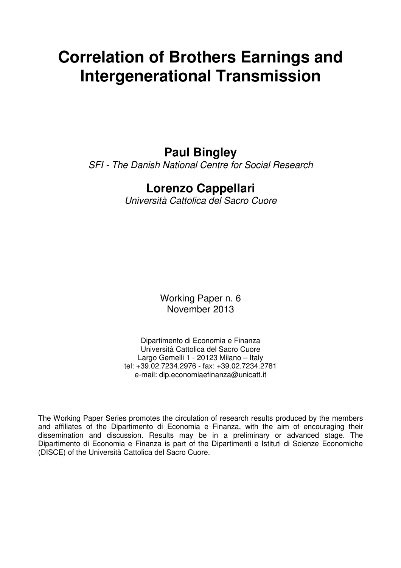# **Correlation of Brothers Earnings and Intergenerational Transmission**

### **Paul Bingley**

SFI - The Danish National Centre for Social Research

### **Lorenzo Cappellari**

Università Cattolica del Sacro Cuore

Working Paper n. 6 November 2013

Dipartimento di Economia e Finanza Università Cattolica del Sacro Cuore Largo Gemelli 1 - 20123 Milano – Italy tel: +39.02.7234.2976 - fax: +39.02.7234.2781 e-mail: dip.economiaefinanza@unicatt.it

The Working Paper Series promotes the circulation of research results produced by the members and affiliates of the Dipartimento di Economia e Finanza, with the aim of encouraging their dissemination and discussion. Results may be in a preliminary or advanced stage. The Dipartimento di Economia e Finanza is part of the Dipartimenti e Istituti di Scienze Economiche (DISCE) of the Università Cattolica del Sacro Cuore.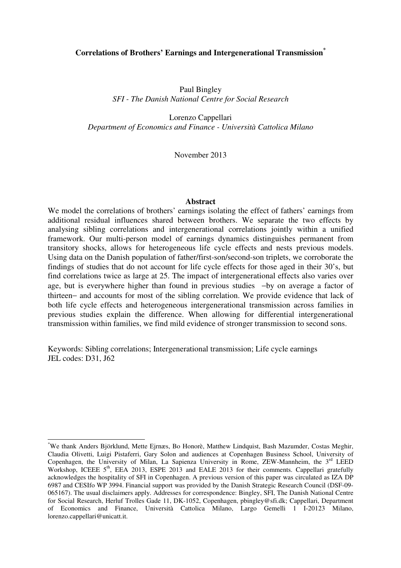#### **Correlations of Brothers' Earnings and Intergenerational Transmission\***

Paul Bingley *SFI - The Danish National Centre for Social Research* 

Lorenzo Cappellari *Department of Economics and Finance - Università Cattolica Milano* 

November 2013

#### **Abstract**

We model the correlations of brothers' earnings isolating the effect of fathers' earnings from additional residual influences shared between brothers. We separate the two effects by analysing sibling correlations and intergenerational correlations jointly within a unified framework. Our multi-person model of earnings dynamics distinguishes permanent from transitory shocks, allows for heterogeneous life cycle effects and nests previous models. Using data on the Danish population of father/first-son/second-son triplets, we corroborate the findings of studies that do not account for life cycle effects for those aged in their 30's, but find correlations twice as large at 25. The impact of intergenerational effects also varies over age, but is everywhere higher than found in previous studies −by on average a factor of thirteen− and accounts for most of the sibling correlation. We provide evidence that lack of both life cycle effects and heterogeneous intergenerational transmission across families in previous studies explain the difference. When allowing for differential intergenerational transmission within families, we find mild evidence of stronger transmission to second sons.

Keywords: Sibling correlations; Intergenerational transmission; Life cycle earnings JEL codes: D31, J62

<sup>\*</sup>We thank Anders Björklund, Mette Ejrnæs, Bo Honorè, Matthew Lindquist, Bash Mazumder, Costas Meghir, Claudia Olivetti, Luigi Pistaferri, Gary Solon and audiences at Copenhagen Business School, University of Copenhagen, the University of Milan, La Sapienza University in Rome, ZEW-Mannheim, the 3rd LEED Workshop, ICEEE 5<sup>th</sup>, EEA 2013, ESPE 2013 and EALE 2013 for their comments. Cappellari gratefully acknowledges the hospitality of SFI in Copenhagen. A previous version of this paper was circulated as IZA DP 6987 and CESIfo WP 3994. Financial support was provided by the Danish Strategic Research Council (DSF-09- 065167). The usual disclaimers apply. Addresses for correspondence: Bingley, SFI, The Danish National Centre for Social Research, Herluf Trolles Gade 11, DK-1052, Copenhagen, pbingley@sfi.dk; Cappellari, Department of Economics and Finance, Università Cattolica Milano, Largo Gemelli 1 I-20123 Milano, lorenzo.cappellari@unicatt.it.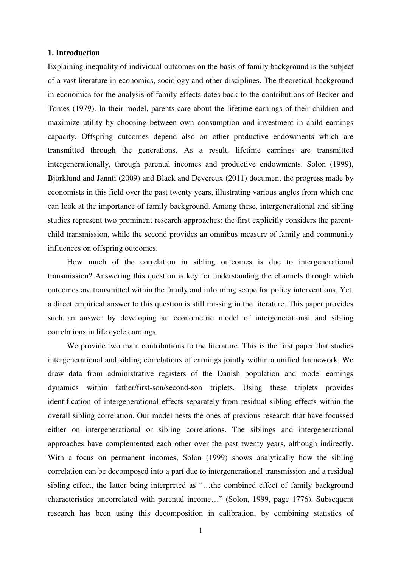#### **1. Introduction**

Explaining inequality of individual outcomes on the basis of family background is the subject of a vast literature in economics, sociology and other disciplines. The theoretical background in economics for the analysis of family effects dates back to the contributions of Becker and Tomes (1979). In their model, parents care about the lifetime earnings of their children and maximize utility by choosing between own consumption and investment in child earnings capacity. Offspring outcomes depend also on other productive endowments which are transmitted through the generations. As a result, lifetime earnings are transmitted intergenerationally, through parental incomes and productive endowments. Solon (1999), Björklund and Jännti (2009) and Black and Devereux (2011) document the progress made by economists in this field over the past twenty years, illustrating various angles from which one can look at the importance of family background. Among these, intergenerational and sibling studies represent two prominent research approaches: the first explicitly considers the parentchild transmission, while the second provides an omnibus measure of family and community influences on offspring outcomes.

How much of the correlation in sibling outcomes is due to intergenerational transmission? Answering this question is key for understanding the channels through which outcomes are transmitted within the family and informing scope for policy interventions. Yet, a direct empirical answer to this question is still missing in the literature. This paper provides such an answer by developing an econometric model of intergenerational and sibling correlations in life cycle earnings.

We provide two main contributions to the literature. This is the first paper that studies intergenerational and sibling correlations of earnings jointly within a unified framework. We draw data from administrative registers of the Danish population and model earnings dynamics within father/first-son/second-son triplets. Using these triplets provides identification of intergenerational effects separately from residual sibling effects within the overall sibling correlation. Our model nests the ones of previous research that have focussed either on intergenerational or sibling correlations. The siblings and intergenerational approaches have complemented each other over the past twenty years, although indirectly. With a focus on permanent incomes, Solon (1999) shows analytically how the sibling correlation can be decomposed into a part due to intergenerational transmission and a residual sibling effect, the latter being interpreted as "…the combined effect of family background characteristics uncorrelated with parental income…" (Solon, 1999, page 1776). Subsequent research has been using this decomposition in calibration, by combining statistics of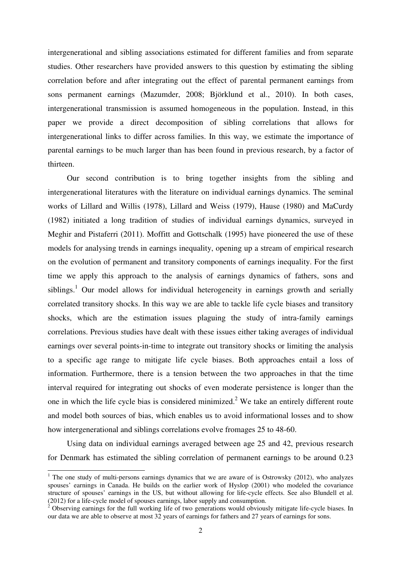intergenerational and sibling associations estimated for different families and from separate studies. Other researchers have provided answers to this question by estimating the sibling correlation before and after integrating out the effect of parental permanent earnings from sons permanent earnings (Mazumder, 2008; Björklund et al., 2010). In both cases, intergenerational transmission is assumed homogeneous in the population. Instead, in this paper we provide a direct decomposition of sibling correlations that allows for intergenerational links to differ across families. In this way, we estimate the importance of parental earnings to be much larger than has been found in previous research, by a factor of thirteen.

Our second contribution is to bring together insights from the sibling and intergenerational literatures with the literature on individual earnings dynamics. The seminal works of Lillard and Willis (1978), Lillard and Weiss (1979), Hause (1980) and MaCurdy (1982) initiated a long tradition of studies of individual earnings dynamics, surveyed in Meghir and Pistaferri (2011). Moffitt and Gottschalk (1995) have pioneered the use of these models for analysing trends in earnings inequality, opening up a stream of empirical research on the evolution of permanent and transitory components of earnings inequality. For the first time we apply this approach to the analysis of earnings dynamics of fathers, sons and siblings.<sup>1</sup> Our model allows for individual heterogeneity in earnings growth and serially correlated transitory shocks. In this way we are able to tackle life cycle biases and transitory shocks, which are the estimation issues plaguing the study of intra-family earnings correlations. Previous studies have dealt with these issues either taking averages of individual earnings over several points-in-time to integrate out transitory shocks or limiting the analysis to a specific age range to mitigate life cycle biases. Both approaches entail a loss of information. Furthermore, there is a tension between the two approaches in that the time interval required for integrating out shocks of even moderate persistence is longer than the one in which the life cycle bias is considered minimized.<sup>2</sup> We take an entirely different route and model both sources of bias, which enables us to avoid informational losses and to show how intergenerational and siblings correlations evolve fromages 25 to 48-60.

Using data on individual earnings averaged between age 25 and 42, previous research for Denmark has estimated the sibling correlation of permanent earnings to be around 0.23

<sup>&</sup>lt;sup>1</sup> The one study of multi-persons earnings dynamics that we are aware of is Ostrowsky (2012), who analyzes spouses' earnings in Canada. He builds on the earlier work of Hyslop (2001) who modeled the covariance structure of spouses' earnings in the US, but without allowing for life-cycle effects. See also Blundell et al. (2012) for a life-cycle model of spouses earnings, labor supply and consumption.

<sup>2</sup> Observing earnings for the full working life of two generations would obviously mitigate life-cycle biases. In our data we are able to observe at most 32 years of earnings for fathers and 27 years of earnings for sons.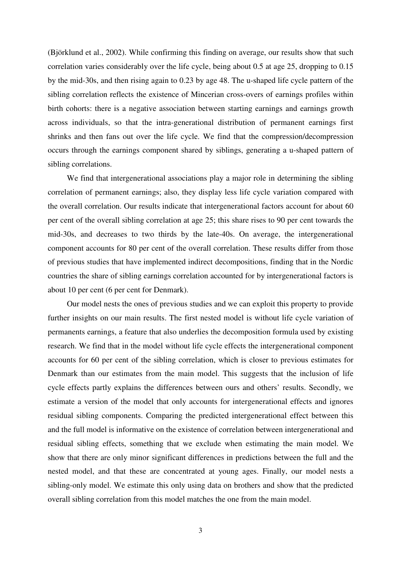(Björklund et al., 2002). While confirming this finding on average, our results show that such correlation varies considerably over the life cycle, being about 0.5 at age 25, dropping to 0.15 by the mid-30s, and then rising again to 0.23 by age 48. The u-shaped life cycle pattern of the sibling correlation reflects the existence of Mincerian cross-overs of earnings profiles within birth cohorts: there is a negative association between starting earnings and earnings growth across individuals, so that the intra-generational distribution of permanent earnings first shrinks and then fans out over the life cycle. We find that the compression/decompression occurs through the earnings component shared by siblings, generating a u-shaped pattern of sibling correlations.

We find that intergenerational associations play a major role in determining the sibling correlation of permanent earnings; also, they display less life cycle variation compared with the overall correlation. Our results indicate that intergenerational factors account for about 60 per cent of the overall sibling correlation at age 25; this share rises to 90 per cent towards the mid-30s, and decreases to two thirds by the late-40s. On average, the intergenerational component accounts for 80 per cent of the overall correlation. These results differ from those of previous studies that have implemented indirect decompositions, finding that in the Nordic countries the share of sibling earnings correlation accounted for by intergenerational factors is about 10 per cent (6 per cent for Denmark).

Our model nests the ones of previous studies and we can exploit this property to provide further insights on our main results. The first nested model is without life cycle variation of permanents earnings, a feature that also underlies the decomposition formula used by existing research. We find that in the model without life cycle effects the intergenerational component accounts for 60 per cent of the sibling correlation, which is closer to previous estimates for Denmark than our estimates from the main model. This suggests that the inclusion of life cycle effects partly explains the differences between ours and others' results. Secondly, we estimate a version of the model that only accounts for intergenerational effects and ignores residual sibling components. Comparing the predicted intergenerational effect between this and the full model is informative on the existence of correlation between intergenerational and residual sibling effects, something that we exclude when estimating the main model. We show that there are only minor significant differences in predictions between the full and the nested model, and that these are concentrated at young ages. Finally, our model nests a sibling-only model. We estimate this only using data on brothers and show that the predicted overall sibling correlation from this model matches the one from the main model.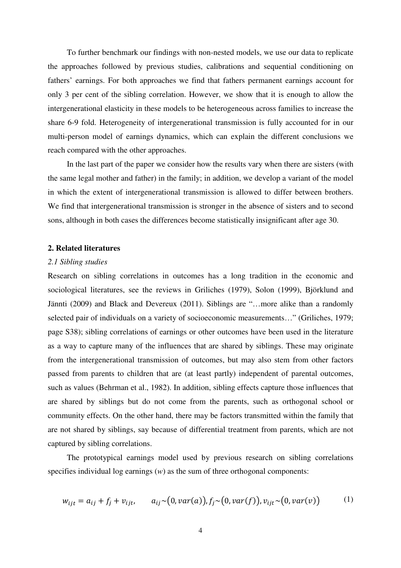To further benchmark our findings with non-nested models, we use our data to replicate the approaches followed by previous studies, calibrations and sequential conditioning on fathers' earnings. For both approaches we find that fathers permanent earnings account for only 3 per cent of the sibling correlation. However, we show that it is enough to allow the intergenerational elasticity in these models to be heterogeneous across families to increase the share 6-9 fold. Heterogeneity of intergenerational transmission is fully accounted for in our multi-person model of earnings dynamics, which can explain the different conclusions we reach compared with the other approaches.

In the last part of the paper we consider how the results vary when there are sisters (with the same legal mother and father) in the family; in addition, we develop a variant of the model in which the extent of intergenerational transmission is allowed to differ between brothers. We find that intergenerational transmission is stronger in the absence of sisters and to second sons, although in both cases the differences become statistically insignificant after age 30.

#### **2. Related literatures**

#### *2.1 Sibling studies*

Research on sibling correlations in outcomes has a long tradition in the economic and sociological literatures, see the reviews in Griliches (1979), Solon (1999), Björklund and Jännti (2009) and Black and Devereux (2011). Siblings are "…more alike than a randomly selected pair of individuals on a variety of socioeconomic measurements…" (Griliches, 1979; page S38); sibling correlations of earnings or other outcomes have been used in the literature as a way to capture many of the influences that are shared by siblings. These may originate from the intergenerational transmission of outcomes, but may also stem from other factors passed from parents to children that are (at least partly) independent of parental outcomes, such as values (Behrman et al., 1982). In addition, sibling effects capture those influences that are shared by siblings but do not come from the parents, such as orthogonal school or community effects. On the other hand, there may be factors transmitted within the family that are not shared by siblings, say because of differential treatment from parents, which are not captured by sibling correlations.

The prototypical earnings model used by previous research on sibling correlations specifies individual log earnings (*w*) as the sum of three orthogonal components:

$$
w_{ijt} = a_{ij} + f_j + v_{ijt}, \qquad a_{ij} \sim (0, var(a)), f_j \sim (0, var(f)), v_{ijt} \sim (0, var(v))
$$
 (1)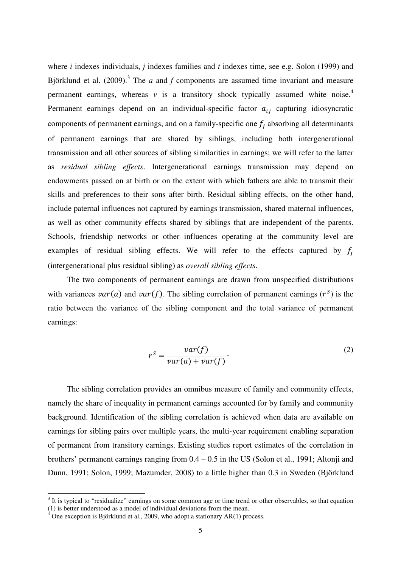where *i* indexes individuals, *j* indexes families and *t* indexes time, see e.g. Solon (1999) and Björklund et al.  $(2009)$ .<sup>3</sup> The *a* and *f* components are assumed time invariant and measure permanent earnings, whereas  $v$  is a transitory shock typically assumed white noise.<sup>4</sup> Permanent earnings depend on an individual-specific factor  $a_{ij}$  capturing idiosyncratic components of permanent earnings, and on a family-specific one  $f_j$  absorbing all determinants of permanent earnings that are shared by siblings, including both intergenerational transmission and all other sources of sibling similarities in earnings; we will refer to the latter as *residual sibling effects*. Intergenerational earnings transmission may depend on endowments passed on at birth or on the extent with which fathers are able to transmit their skills and preferences to their sons after birth. Residual sibling effects, on the other hand, include paternal influences not captured by earnings transmission, shared maternal influences, as well as other community effects shared by siblings that are independent of the parents. Schools, friendship networks or other influences operating at the community level are examples of residual sibling effects. We will refer to the effects captured by  $f_i$ (intergenerational plus residual sibling) as *overall sibling effects*.

The two components of permanent earnings are drawn from unspecified distributions with variances  $var(a)$  and  $var(f)$ . The sibling correlation of permanent earnings  $(r^S)$  is the ratio between the variance of the sibling component and the total variance of permanent earnings:

$$
r^S = \frac{var(f)}{var(a) + var(f)}.\tag{2}
$$

The sibling correlation provides an omnibus measure of family and community effects, namely the share of inequality in permanent earnings accounted for by family and community background. Identification of the sibling correlation is achieved when data are available on earnings for sibling pairs over multiple years, the multi-year requirement enabling separation of permanent from transitory earnings. Existing studies report estimates of the correlation in brothers' permanent earnings ranging from 0.4 – 0.5 in the US (Solon et al., 1991; Altonji and Dunn, 1991; Solon, 1999; Mazumder, 2008) to a little higher than 0.3 in Sweden (Björklund

<sup>&</sup>lt;sup>3</sup> It is typical to "residualize" earnings on some common age or time trend or other observables, so that equation (1) is better understood as a model of individual deviations from the mean.

 $4$  One exception is Björklund et al., 2009, who adopt a stationary AR(1) process.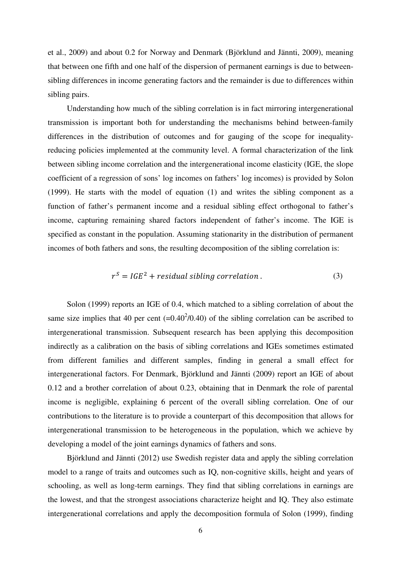et al., 2009) and about 0.2 for Norway and Denmark (Björklund and Jännti, 2009), meaning that between one fifth and one half of the dispersion of permanent earnings is due to betweensibling differences in income generating factors and the remainder is due to differences within sibling pairs.

Understanding how much of the sibling correlation is in fact mirroring intergenerational transmission is important both for understanding the mechanisms behind between-family differences in the distribution of outcomes and for gauging of the scope for inequalityreducing policies implemented at the community level. A formal characterization of the link between sibling income correlation and the intergenerational income elasticity (IGE, the slope coefficient of a regression of sons' log incomes on fathers' log incomes) is provided by Solon (1999). He starts with the model of equation (1) and writes the sibling component as a function of father's permanent income and a residual sibling effect orthogonal to father's income, capturing remaining shared factors independent of father's income. The IGE is specified as constant in the population. Assuming stationarity in the distribution of permanent incomes of both fathers and sons, the resulting decomposition of the sibling correlation is:

$$
rS = IGE2 + residual sibling correlation.
$$
 (3)

Solon (1999) reports an IGE of 0.4, which matched to a sibling correlation of about the same size implies that 40 per cent  $(=0.40<sup>2</sup>/0.40)$  of the sibling correlation can be ascribed to intergenerational transmission. Subsequent research has been applying this decomposition indirectly as a calibration on the basis of sibling correlations and IGEs sometimes estimated from different families and different samples, finding in general a small effect for intergenerational factors. For Denmark, Björklund and Jännti (2009) report an IGE of about 0.12 and a brother correlation of about 0.23, obtaining that in Denmark the role of parental income is negligible, explaining 6 percent of the overall sibling correlation. One of our contributions to the literature is to provide a counterpart of this decomposition that allows for intergenerational transmission to be heterogeneous in the population, which we achieve by developing a model of the joint earnings dynamics of fathers and sons.

Björklund and Jännti (2012) use Swedish register data and apply the sibling correlation model to a range of traits and outcomes such as IQ, non-cognitive skills, height and years of schooling, as well as long-term earnings. They find that sibling correlations in earnings are the lowest, and that the strongest associations characterize height and IQ. They also estimate intergenerational correlations and apply the decomposition formula of Solon (1999), finding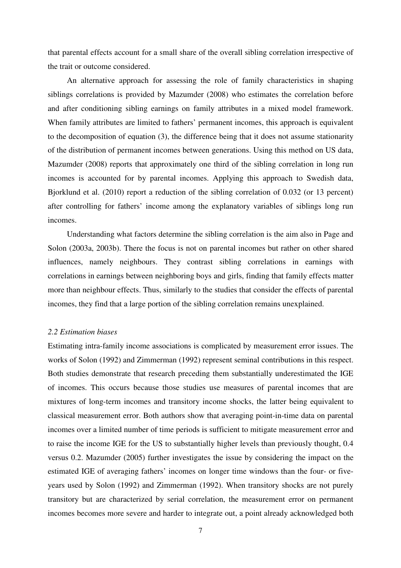that parental effects account for a small share of the overall sibling correlation irrespective of the trait or outcome considered.

An alternative approach for assessing the role of family characteristics in shaping siblings correlations is provided by Mazumder (2008) who estimates the correlation before and after conditioning sibling earnings on family attributes in a mixed model framework. When family attributes are limited to fathers' permanent incomes, this approach is equivalent to the decomposition of equation (3), the difference being that it does not assume stationarity of the distribution of permanent incomes between generations. Using this method on US data, Mazumder (2008) reports that approximately one third of the sibling correlation in long run incomes is accounted for by parental incomes. Applying this approach to Swedish data, Bjorklund et al. (2010) report a reduction of the sibling correlation of 0.032 (or 13 percent) after controlling for fathers' income among the explanatory variables of siblings long run incomes.

Understanding what factors determine the sibling correlation is the aim also in Page and Solon (2003a, 2003b). There the focus is not on parental incomes but rather on other shared influences, namely neighbours. They contrast sibling correlations in earnings with correlations in earnings between neighboring boys and girls, finding that family effects matter more than neighbour effects. Thus, similarly to the studies that consider the effects of parental incomes, they find that a large portion of the sibling correlation remains unexplained.

#### *2.2 Estimation biases*

Estimating intra-family income associations is complicated by measurement error issues. The works of Solon (1992) and Zimmerman (1992) represent seminal contributions in this respect. Both studies demonstrate that research preceding them substantially underestimated the IGE of incomes. This occurs because those studies use measures of parental incomes that are mixtures of long-term incomes and transitory income shocks, the latter being equivalent to classical measurement error. Both authors show that averaging point-in-time data on parental incomes over a limited number of time periods is sufficient to mitigate measurement error and to raise the income IGE for the US to substantially higher levels than previously thought, 0.4 versus 0.2. Mazumder (2005) further investigates the issue by considering the impact on the estimated IGE of averaging fathers' incomes on longer time windows than the four- or fiveyears used by Solon (1992) and Zimmerman (1992). When transitory shocks are not purely transitory but are characterized by serial correlation, the measurement error on permanent incomes becomes more severe and harder to integrate out, a point already acknowledged both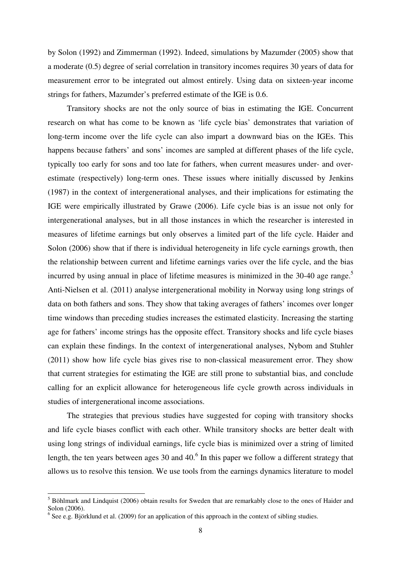by Solon (1992) and Zimmerman (1992). Indeed, simulations by Mazumder (2005) show that a moderate (0.5) degree of serial correlation in transitory incomes requires 30 years of data for measurement error to be integrated out almost entirely. Using data on sixteen-year income strings for fathers, Mazumder's preferred estimate of the IGE is 0.6.

Transitory shocks are not the only source of bias in estimating the IGE. Concurrent research on what has come to be known as 'life cycle bias' demonstrates that variation of long-term income over the life cycle can also impart a downward bias on the IGEs. This happens because fathers' and sons' incomes are sampled at different phases of the life cycle, typically too early for sons and too late for fathers, when current measures under- and overestimate (respectively) long-term ones. These issues where initially discussed by Jenkins (1987) in the context of intergenerational analyses, and their implications for estimating the IGE were empirically illustrated by Grawe (2006). Life cycle bias is an issue not only for intergenerational analyses, but in all those instances in which the researcher is interested in measures of lifetime earnings but only observes a limited part of the life cycle. Haider and Solon (2006) show that if there is individual heterogeneity in life cycle earnings growth, then the relationship between current and lifetime earnings varies over the life cycle, and the bias incurred by using annual in place of lifetime measures is minimized in the 30-40 age range.<sup>5</sup> Anti-Nielsen et al. (2011) analyse intergenerational mobility in Norway using long strings of data on both fathers and sons. They show that taking averages of fathers' incomes over longer time windows than preceding studies increases the estimated elasticity. Increasing the starting age for fathers' income strings has the opposite effect. Transitory shocks and life cycle biases can explain these findings. In the context of intergenerational analyses, Nybom and Stuhler (2011) show how life cycle bias gives rise to non-classical measurement error. They show that current strategies for estimating the IGE are still prone to substantial bias, and conclude calling for an explicit allowance for heterogeneous life cycle growth across individuals in studies of intergenerational income associations.

The strategies that previous studies have suggested for coping with transitory shocks and life cycle biases conflict with each other. While transitory shocks are better dealt with using long strings of individual earnings, life cycle bias is minimized over a string of limited length, the ten years between ages 30 and  $40<sup>6</sup>$  In this paper we follow a different strategy that allows us to resolve this tension. We use tools from the earnings dynamics literature to model

<sup>&</sup>lt;sup>5</sup> Böhlmark and Lindquist (2006) obtain results for Sweden that are remarkably close to the ones of Haider and Solon (2006).

 $6$  See e.g. Björklund et al. (2009) for an application of this approach in the context of sibling studies.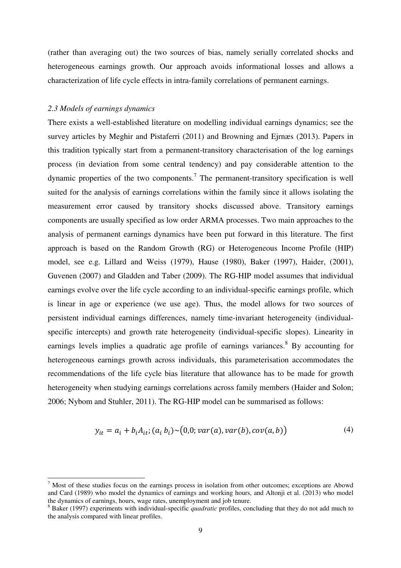(rather than averaging out) the two sources of bias, namely serially correlated shocks and heterogeneous earnings growth. Our approach avoids informational losses and allows a characterization of life cycle effects in intra-family correlations of permanent earnings.

#### *2.3 Models of earnings dynamics*

 $\overline{a}$ 

There exists a well-established literature on modelling individual earnings dynamics; see the survey articles by Meghir and Pistaferri (2011) and Browning and Ejrnæs (2013). Papers in this tradition typically start from a permanent-transitory characterisation of the log earnings process (in deviation from some central tendency) and pay considerable attention to the dynamic properties of the two components.<sup>7</sup> The permanent-transitory specification is well suited for the analysis of earnings correlations within the family since it allows isolating the measurement error caused by transitory shocks discussed above. Transitory earnings components are usually specified as low order ARMA processes. Two main approaches to the analysis of permanent earnings dynamics have been put forward in this literature. The first approach is based on the Random Growth (RG) or Heterogeneous Income Profile (HIP) model, see e.g. Lillard and Weiss (1979), Hause (1980), Baker (1997), Haider, (2001), Guvenen (2007) and Gladden and Taber (2009). The RG-HIP model assumes that individual earnings evolve over the life cycle according to an individual-specific earnings profile, which is linear in age or experience (we use age). Thus, the model allows for two sources of persistent individual earnings differences, namely time-invariant heterogeneity (individualspecific intercepts) and growth rate heterogeneity (individual-specific slopes). Linearity in earnings levels implies a quadratic age profile of earnings variances.<sup>8</sup> By accounting for heterogeneous earnings growth across individuals, this parameterisation accommodates the recommendations of the life cycle bias literature that allowance has to be made for growth heterogeneity when studying earnings correlations across family members (Haider and Solon; 2006; Nybom and Stuhler, 2011). The RG-HIP model can be summarised as follows:

$$
y_{it} = a_i + b_i A_{it}; (a_i b_i) \sim (0, 0; var(a), var(b), cov(a, b))
$$
\n
$$
(4)
$$

<sup>&</sup>lt;sup>7</sup> Most of these studies focus on the earnings process in isolation from other outcomes; exceptions are Abowd and Card (1989) who model the dynamics of earnings and working hours, and Altonji et al. (2013) who model the dynamics of earnings, hours, wage rates, unemployment and job tenure.

<sup>8</sup> Baker (1997) experiments with individual-specific *quadratic* profiles, concluding that they do not add much to the analysis compared with linear profiles.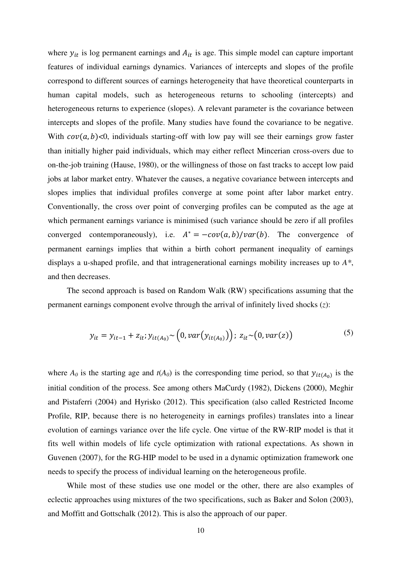where  $y_{it}$  is log permanent earnings and  $A_{it}$  is age. This simple model can capture important features of individual earnings dynamics. Variances of intercepts and slopes of the profile correspond to different sources of earnings heterogeneity that have theoretical counterparts in human capital models, such as heterogeneous returns to schooling (intercepts) and heterogeneous returns to experience (slopes). A relevant parameter is the covariance between intercepts and slopes of the profile. Many studies have found the covariance to be negative. With  $cov(a, b)$ <0, individuals starting-off with low pay will see their earnings grow faster than initially higher paid individuals, which may either reflect Mincerian cross-overs due to on-the-job training (Hause, 1980), or the willingness of those on fast tracks to accept low paid jobs at labor market entry. Whatever the causes, a negative covariance between intercepts and slopes implies that individual profiles converge at some point after labor market entry. Conventionally, the cross over point of converging profiles can be computed as the age at which permanent earnings variance is minimised (such variance should be zero if all profiles converged contemporaneously), i.e.  $A^* = -\frac{cov(a, b)}{var(b)}$ . The convergence of permanent earnings implies that within a birth cohort permanent inequality of earnings displays a u-shaped profile, and that intragenerational earnings mobility increases up to *A\**, and then decreases.

The second approach is based on Random Walk (RW) specifications assuming that the permanent earnings component evolve through the arrival of infinitely lived shocks (*z*):

$$
y_{it} = y_{it-1} + z_{it}; y_{it(A_0)} \sim (0, var(y_{it(A_0)})); z_{it} \sim (0, var(z))
$$
 (5)

where  $A_0$  is the starting age and  $t(A_0)$  is the corresponding time period, so that  $y_{it(A_0)}$  is the initial condition of the process. See among others MaCurdy (1982), Dickens (2000), Meghir and Pistaferri (2004) and Hyrisko (2012). This specification (also called Restricted Income Profile, RIP, because there is no heterogeneity in earnings profiles) translates into a linear evolution of earnings variance over the life cycle. One virtue of the RW-RIP model is that it fits well within models of life cycle optimization with rational expectations. As shown in Guvenen (2007), for the RG-HIP model to be used in a dynamic optimization framework one needs to specify the process of individual learning on the heterogeneous profile.

While most of these studies use one model or the other, there are also examples of eclectic approaches using mixtures of the two specifications, such as Baker and Solon (2003), and Moffitt and Gottschalk (2012). This is also the approach of our paper.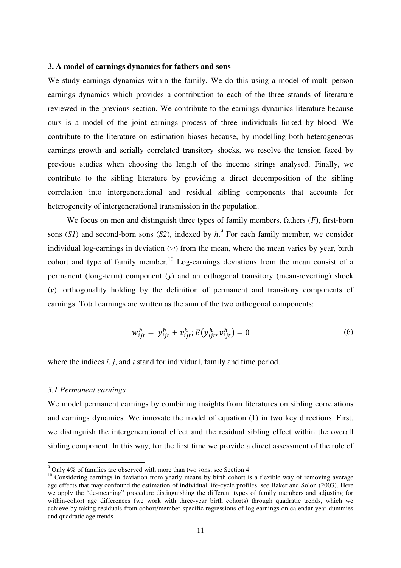#### **3. A model of earnings dynamics for fathers and sons**

We study earnings dynamics within the family. We do this using a model of multi-person earnings dynamics which provides a contribution to each of the three strands of literature reviewed in the previous section. We contribute to the earnings dynamics literature because ours is a model of the joint earnings process of three individuals linked by blood. We contribute to the literature on estimation biases because, by modelling both heterogeneous earnings growth and serially correlated transitory shocks, we resolve the tension faced by previous studies when choosing the length of the income strings analysed. Finally, we contribute to the sibling literature by providing a direct decomposition of the sibling correlation into intergenerational and residual sibling components that accounts for heterogeneity of intergenerational transmission in the population.

We focus on men and distinguish three types of family members, fathers (*F*), first-born sons  $(SI)$  and second-born sons  $(S2)$ , indexed by  $h^0$ . For each family member, we consider individual log-earnings in deviation (*w*) from the mean, where the mean varies by year, birth cohort and type of family member.<sup>10</sup> Log-earnings deviations from the mean consist of a permanent (long-term) component (*y*) and an orthogonal transitory (mean-reverting) shock (*v*), orthogonality holding by the definition of permanent and transitory components of earnings. Total earnings are written as the sum of the two orthogonal components:

$$
w_{ijt}^h = y_{ijt}^h + v_{ijt}^h; E\left(y_{ijt}^h, v_{ijt}^h\right) = 0
$$
\n<sup>(6)</sup>

where the indices *i*, *j*, and *t* stand for individual, family and time period.

#### *3.1 Permanent earnings*

We model permanent earnings by combining insights from literatures on sibling correlations and earnings dynamics. We innovate the model of equation (1) in two key directions. First, we distinguish the intergenerational effect and the residual sibling effect within the overall sibling component. In this way, for the first time we provide a direct assessment of the role of

<sup>&</sup>lt;sup>9</sup> Only 4% of families are observed with more than two sons, see Section 4.

<sup>&</sup>lt;sup>10</sup> Considering earnings in deviation from yearly means by birth cohort is a flexible way of removing average age effects that may confound the estimation of individual life-cycle profiles, see Baker and Solon (2003). Here we apply the "de-meaning" procedure distinguishing the different types of family members and adjusting for within-cohort age differences (we work with three-year birth cohorts) through quadratic trends, which we achieve by taking residuals from cohort/member-specific regressions of log earnings on calendar year dummies and quadratic age trends.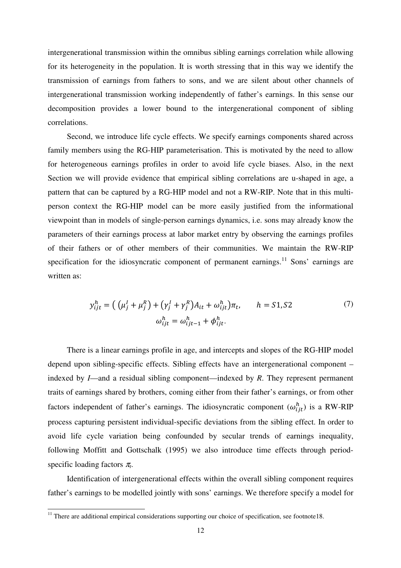intergenerational transmission within the omnibus sibling earnings correlation while allowing for its heterogeneity in the population. It is worth stressing that in this way we identify the transmission of earnings from fathers to sons, and we are silent about other channels of intergenerational transmission working independently of father's earnings. In this sense our decomposition provides a lower bound to the intergenerational component of sibling correlations.

Second, we introduce life cycle effects. We specify earnings components shared across family members using the RG-HIP parameterisation. This is motivated by the need to allow for heterogeneous earnings profiles in order to avoid life cycle biases. Also, in the next Section we will provide evidence that empirical sibling correlations are u-shaped in age, a pattern that can be captured by a RG-HIP model and not a RW-RIP. Note that in this multiperson context the RG-HIP model can be more easily justified from the informational viewpoint than in models of single-person earnings dynamics, i.e. sons may already know the parameters of their earnings process at labor market entry by observing the earnings profiles of their fathers or of other members of their communities. We maintain the RW-RIP specification for the idiosyncratic component of permanent earnings.<sup>11</sup> Sons' earnings are written as:

$$
y_{ijt}^h = \left( \left( \mu_j^l + \mu_j^R \right) + \left( \gamma_j^l + \gamma_j^R \right) A_{it} + \omega_{ijt}^h \right) \pi_t, \qquad h = S1, S2
$$
\n
$$
\omega_{ijt}^h = \omega_{ijt-1}^h + \phi_{ijt}^h.
$$
\n(7)

There is a linear earnings profile in age, and intercepts and slopes of the RG-HIP model depend upon sibling-specific effects. Sibling effects have an intergenerational component – indexed by *I*—and a residual sibling component—indexed by *R*. They represent permanent traits of earnings shared by brothers, coming either from their father's earnings, or from other factors independent of father's earnings. The idiosyncratic component  $(\omega_{ijt}^h)$  is a RW-RIP process capturing persistent individual-specific deviations from the sibling effect. In order to avoid life cycle variation being confounded by secular trends of earnings inequality, following Moffitt and Gottschalk (1995) we also introduce time effects through periodspecific loading factors  $\pi$ .

Identification of intergenerational effects within the overall sibling component requires father's earnings to be modelled jointly with sons' earnings. We therefore specify a model for

 $11$  There are additional empirical considerations supporting our choice of specification, see footnote18.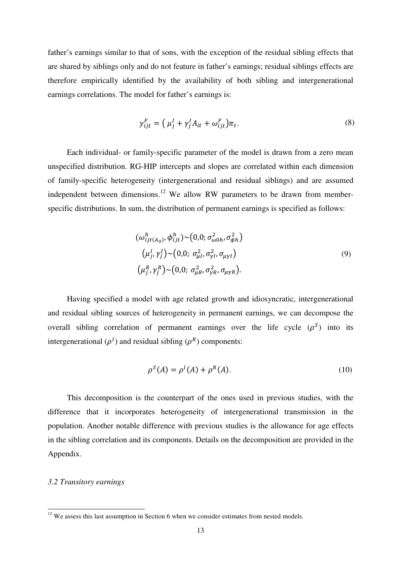father's earnings similar to that of sons, with the exception of the residual sibling effects that are shared by siblings only and do not feature in father's earnings; residual siblings effects are therefore empirically identified by the availability of both sibling and intergenerational earnings correlations. The model for father's earnings is:

$$
y_{ijt}^F = \left(\mu_j^I + \gamma_j^I A_{it} + \omega_{ijt}^F\right) \pi_t.
$$
\n(8)

Each individual- or family-specific parameter of the model is drawn from a zero mean unspecified distribution. RG-HIP intercepts and slopes are correlated within each dimension of family-specific heterogeneity (intergenerational and residual siblings) and are assumed independent between dimensions.<sup>12</sup> We allow RW parameters to be drawn from memberspecific distributions. In sum, the distribution of permanent earnings is specified as follows:

$$
(\omega_{ijt(A_0)}^h, \phi_{ijt}^h) \sim (0,0; \sigma_{\omega 0h}^2, \sigma_{\phi h}^2)
$$
  
\n
$$
(\mu_j^l, \gamma_j^l) \sim (0,0; \sigma_{\mu l}^2, \sigma_{\gamma l}^2, \sigma_{\mu \gamma l})
$$
  
\n
$$
(\mu_j^R, \gamma_j^R) \sim (0,0; \sigma_{\mu R}^2, \sigma_{\gamma R}^2, \sigma_{\mu \gamma R}).
$$
\n(9)

Having specified a model with age related growth and idiosyncratic, intergenerational and residual sibling sources of heterogeneity in permanent earnings, we can decompose the overall sibling correlation of permanent earnings over the life cycle  $(\rho^S)$  into its intergenerational  $(\rho^I)$  and residual sibling  $(\rho^R)$  components:

$$
\rho^S(A) = \rho^I(A) + \rho^R(A). \tag{10}
$$

This decomposition is the counterpart of the ones used in previous studies, with the difference that it incorporates heterogeneity of intergenerational transmission in the population. Another notable difference with previous studies is the allowance for age effects in the sibling correlation and its components. Details on the decomposition are provided in the Appendix.

#### *3.2 Transitory earnings*

 $12$  We assess this last assumption in Section 6 when we consider estimates from nested models.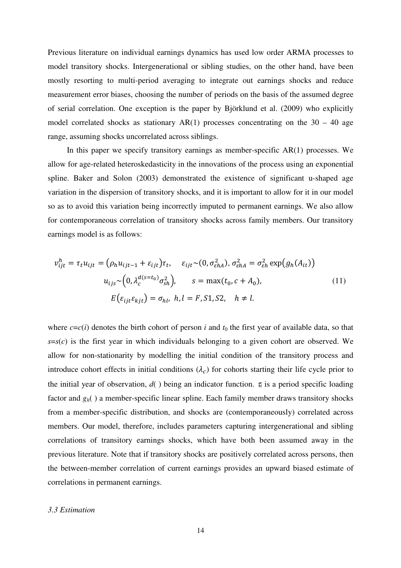Previous literature on individual earnings dynamics has used low order ARMA processes to model transitory shocks. Intergenerational or sibling studies, on the other hand, have been mostly resorting to multi-period averaging to integrate out earnings shocks and reduce measurement error biases, choosing the number of periods on the basis of the assumed degree of serial correlation. One exception is the paper by Björklund et al. (2009) who explicitly model correlated shocks as stationary  $AR(1)$  processes concentrating on the  $30 - 40$  age range, assuming shocks uncorrelated across siblings.

In this paper we specify transitory earnings as member-specific AR(1) processes. We allow for age-related heteroskedasticity in the innovations of the process using an exponential spline. Baker and Solon (2003) demonstrated the existence of significant u-shaped age variation in the dispersion of transitory shocks, and it is important to allow for it in our model so as to avoid this variation being incorrectly imputed to permanent earnings. We also allow for contemporaneous correlation of transitory shocks across family members. Our transitory earnings model is as follows:

$$
v_{ijt}^h = \tau_t u_{ijt} = (\rho_h u_{ijt-1} + \varepsilon_{ijt}) \tau_t, \quad \varepsilon_{ijt} \sim (0, \sigma_{\varepsilon hA}^2), \sigma_{\varepsilon hA}^2 = \sigma_{\varepsilon h}^2 \exp(g_h(A_{it}))
$$
  

$$
u_{ijs} \sim (0, \lambda_c^{d(s=t_0)} \sigma_{sh}^2), \quad s = \max(t_0, c + A_0),
$$
  

$$
E(\varepsilon_{ijt} \varepsilon_{kjt}) = \sigma_{hl}, \quad h, l = F, S1, S2, \quad h \neq l.
$$
 (11)

where  $c = c(i)$  denotes the birth cohort of person *i* and  $t_0$  the first year of available data, so that  $s=s(c)$  is the first year in which individuals belonging to a given cohort are observed. We allow for non-stationarity by modelling the initial condition of the transitory process and introduce cohort effects in initial conditions  $(\lambda_c)$  for cohorts starting their life cycle prior to the initial year of observation,  $d()$  being an indicator function.  $\tau_t$  is a period specific loading factor and  $g_h$ ( $\theta$ ) a member-specific linear spline. Each family member draws transitory shocks from a member-specific distribution, and shocks are (contemporaneously) correlated across members. Our model, therefore, includes parameters capturing intergenerational and sibling correlations of transitory earnings shocks, which have both been assumed away in the previous literature. Note that if transitory shocks are positively correlated across persons, then the between-member correlation of current earnings provides an upward biased estimate of correlations in permanent earnings.

#### *3.3 Estimation*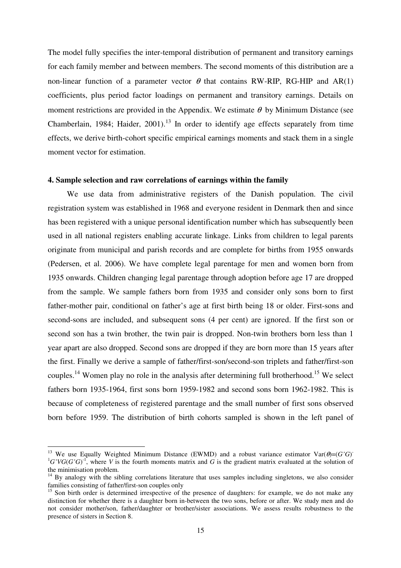The model fully specifies the inter-temporal distribution of permanent and transitory earnings for each family member and between members. The second moments of this distribution are a non-linear function of a parameter vector  $\theta$  that contains RW-RIP, RG-HIP and AR(1) coefficients, plus period factor loadings on permanent and transitory earnings. Details on moment restrictions are provided in the Appendix. We estimate  $\theta$  by Minimum Distance (see Chamberlain, 1984; Haider, 2001).<sup>13</sup> In order to identify age effects separately from time effects, we derive birth-cohort specific empirical earnings moments and stack them in a single moment vector for estimation.

#### **4. Sample selection and raw correlations of earnings within the family**

We use data from administrative registers of the Danish population. The civil registration system was established in 1968 and everyone resident in Denmark then and since has been registered with a unique personal identification number which has subsequently been used in all national registers enabling accurate linkage. Links from children to legal parents originate from municipal and parish records and are complete for births from 1955 onwards (Pedersen, et al. 2006). We have complete legal parentage for men and women born from 1935 onwards. Children changing legal parentage through adoption before age 17 are dropped from the sample. We sample fathers born from 1935 and consider only sons born to first father-mother pair, conditional on father's age at first birth being 18 or older. First-sons and second-sons are included, and subsequent sons (4 per cent) are ignored. If the first son or second son has a twin brother, the twin pair is dropped. Non-twin brothers born less than 1 year apart are also dropped. Second sons are dropped if they are born more than 15 years after the first. Finally we derive a sample of father/first-son/second-son triplets and father/first-son couples.<sup>14</sup> Women play no role in the analysis after determining full brotherhood.<sup>15</sup> We select fathers born 1935-1964, first sons born 1959-1982 and second sons born 1962-1982. This is because of completeness of registered parentage and the small number of first sons observed born before 1959. The distribution of birth cohorts sampled is shown in the left panel of

<sup>&</sup>lt;sup>13</sup> We use Equally Weighted Minimum Distance (EWMD) and a robust variance estimator Var $(\theta) = (G'G)^T$  ${}^{1}G'VG(G'G)^{-1}$ , where *V* is the fourth moments matrix and *G* is the gradient matrix evaluated at the solution of the minimisation problem.

<sup>&</sup>lt;sup>14</sup> By analogy with the sibling correlations literature that uses samples including singletons, we also consider families consisting of father/first-son couples only

<sup>&</sup>lt;sup>15</sup> Son birth order is determined irrespective of the presence of daughters: for example, we do not make any distinction for whether there is a daughter born in-between the two sons, before or after. We study men and do not consider mother/son, father/daughter or brother/sister associations. We assess results robustness to the presence of sisters in Section 8.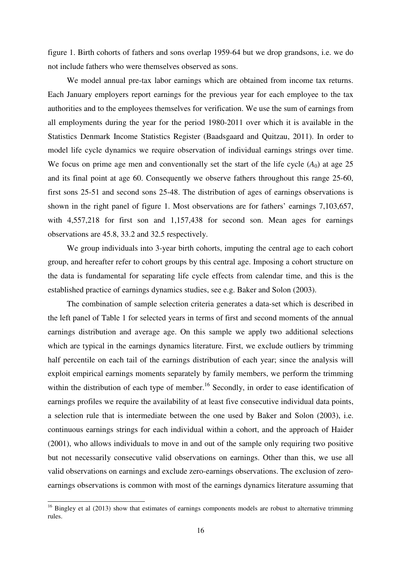figure 1. Birth cohorts of fathers and sons overlap 1959-64 but we drop grandsons, i.e. we do not include fathers who were themselves observed as sons.

We model annual pre-tax labor earnings which are obtained from income tax returns. Each January employers report earnings for the previous year for each employee to the tax authorities and to the employees themselves for verification. We use the sum of earnings from all employments during the year for the period 1980-2011 over which it is available in the Statistics Denmark Income Statistics Register (Baadsgaard and Quitzau, 2011). In order to model life cycle dynamics we require observation of individual earnings strings over time. We focus on prime age men and conventionally set the start of the life cycle  $(A_0)$  at age 25 and its final point at age 60. Consequently we observe fathers throughout this range 25-60, first sons 25-51 and second sons 25-48. The distribution of ages of earnings observations is shown in the right panel of figure 1. Most observations are for fathers' earnings 7,103,657, with 4,557,218 for first son and 1,157,438 for second son. Mean ages for earnings observations are 45.8, 33.2 and 32.5 respectively.

We group individuals into 3-year birth cohorts, imputing the central age to each cohort group, and hereafter refer to cohort groups by this central age. Imposing a cohort structure on the data is fundamental for separating life cycle effects from calendar time, and this is the established practice of earnings dynamics studies, see e.g. Baker and Solon (2003).

The combination of sample selection criteria generates a data-set which is described in the left panel of Table 1 for selected years in terms of first and second moments of the annual earnings distribution and average age. On this sample we apply two additional selections which are typical in the earnings dynamics literature. First, we exclude outliers by trimming half percentile on each tail of the earnings distribution of each year; since the analysis will exploit empirical earnings moments separately by family members, we perform the trimming within the distribution of each type of member.<sup>16</sup> Secondly, in order to ease identification of earnings profiles we require the availability of at least five consecutive individual data points, a selection rule that is intermediate between the one used by Baker and Solon (2003), i.e. continuous earnings strings for each individual within a cohort, and the approach of Haider (2001), who allows individuals to move in and out of the sample only requiring two positive but not necessarily consecutive valid observations on earnings. Other than this, we use all valid observations on earnings and exclude zero-earnings observations. The exclusion of zeroearnings observations is common with most of the earnings dynamics literature assuming that

<sup>&</sup>lt;sup>16</sup> Bingley et al (2013) show that estimates of earnings components models are robust to alternative trimming rules.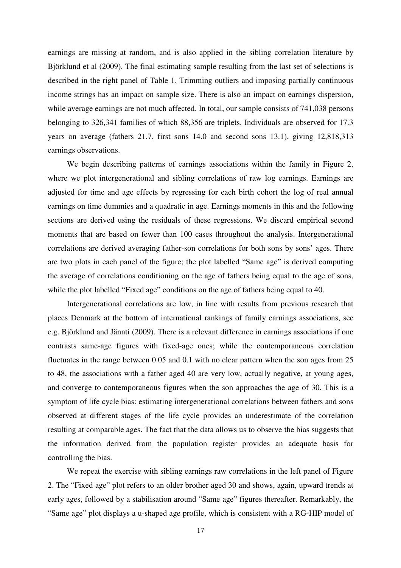earnings are missing at random, and is also applied in the sibling correlation literature by Björklund et al (2009). The final estimating sample resulting from the last set of selections is described in the right panel of Table 1. Trimming outliers and imposing partially continuous income strings has an impact on sample size. There is also an impact on earnings dispersion, while average earnings are not much affected. In total, our sample consists of 741,038 persons belonging to 326,341 families of which 88,356 are triplets. Individuals are observed for 17.3 years on average (fathers 21.7, first sons 14.0 and second sons 13.1), giving 12,818,313 earnings observations.

We begin describing patterns of earnings associations within the family in Figure 2, where we plot intergenerational and sibling correlations of raw log earnings. Earnings are adjusted for time and age effects by regressing for each birth cohort the log of real annual earnings on time dummies and a quadratic in age. Earnings moments in this and the following sections are derived using the residuals of these regressions. We discard empirical second moments that are based on fewer than 100 cases throughout the analysis. Intergenerational correlations are derived averaging father-son correlations for both sons by sons' ages. There are two plots in each panel of the figure; the plot labelled "Same age" is derived computing the average of correlations conditioning on the age of fathers being equal to the age of sons, while the plot labelled "Fixed age" conditions on the age of fathers being equal to 40.

Intergenerational correlations are low, in line with results from previous research that places Denmark at the bottom of international rankings of family earnings associations, see e.g. Björklund and Jännti (2009). There is a relevant difference in earnings associations if one contrasts same-age figures with fixed-age ones; while the contemporaneous correlation fluctuates in the range between 0.05 and 0.1 with no clear pattern when the son ages from 25 to 48, the associations with a father aged 40 are very low, actually negative, at young ages, and converge to contemporaneous figures when the son approaches the age of 30. This is a symptom of life cycle bias: estimating intergenerational correlations between fathers and sons observed at different stages of the life cycle provides an underestimate of the correlation resulting at comparable ages. The fact that the data allows us to observe the bias suggests that the information derived from the population register provides an adequate basis for controlling the bias.

We repeat the exercise with sibling earnings raw correlations in the left panel of Figure 2. The "Fixed age" plot refers to an older brother aged 30 and shows, again, upward trends at early ages, followed by a stabilisation around "Same age" figures thereafter. Remarkably, the "Same age" plot displays a u-shaped age profile, which is consistent with a RG-HIP model of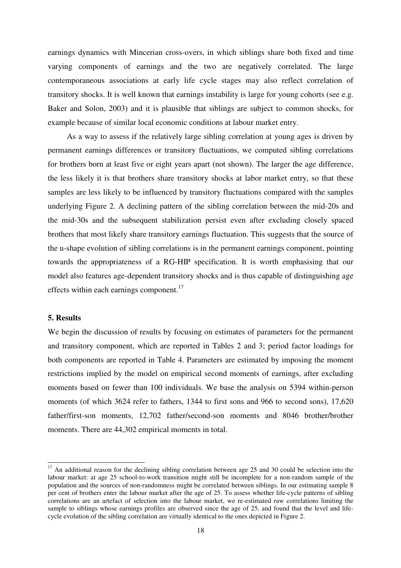earnings dynamics with Mincerian cross-overs, in which siblings share both fixed and time varying components of earnings and the two are negatively correlated. The large contemporaneous associations at early life cycle stages may also reflect correlation of transitory shocks. It is well known that earnings instability is large for young cohorts (see e.g. Baker and Solon, 2003) and it is plausible that siblings are subject to common shocks, for example because of similar local economic conditions at labour market entry.

As a way to assess if the relatively large sibling correlation at young ages is driven by permanent earnings differences or transitory fluctuations, we computed sibling correlations for brothers born at least five or eight years apart (not shown). The larger the age difference, the less likely it is that brothers share transitory shocks at labor market entry, so that these samples are less likely to be influenced by transitory fluctuations compared with the samples underlying Figure 2. A declining pattern of the sibling correlation between the mid-20s and the mid-30s and the subsequent stabilization persist even after excluding closely spaced brothers that most likely share transitory earnings fluctuation. This suggests that the source of the u-shape evolution of sibling correlations is in the permanent earnings component, pointing towards the appropriateness of a RG-HIP specification. It is worth emphasising that our model also features age-dependent transitory shocks and is thus capable of distinguishing age effects within each earnings component.<sup>17</sup>

#### **5. Results**

 $\overline{a}$ 

We begin the discussion of results by focusing on estimates of parameters for the permanent and transitory component, which are reported in Tables 2 and 3; period factor loadings for both components are reported in Table 4. Parameters are estimated by imposing the moment restrictions implied by the model on empirical second moments of earnings, after excluding moments based on fewer than 100 individuals. We base the analysis on 5394 within-person moments (of which 3624 refer to fathers, 1344 to first sons and 966 to second sons), 17,620 father/first-son moments, 12,702 father/second-son moments and 8046 brother/brother moments. There are  $44,302$  empirical moments in total.

 $17$  An additional reason for the declining sibling correlation between age 25 and 30 could be selection into the labour market: at age 25 school-to-work transition might still be incomplete for a non-random sample of the population and the sources of non-randomness might be correlated between siblings. In our estimating sample 8 per cent of brothers enter the labour market after the age of 25. To assess whether life-cycle patterns of sibling correlations are an artefact of selection into the labour market, we re-estimated raw correlations limiting the sample to siblings whose earnings profiles are observed since the age of 25, and found that the level and lifecycle evolution of the sibling correlation are virtually identical to the ones depicted in Figure 2.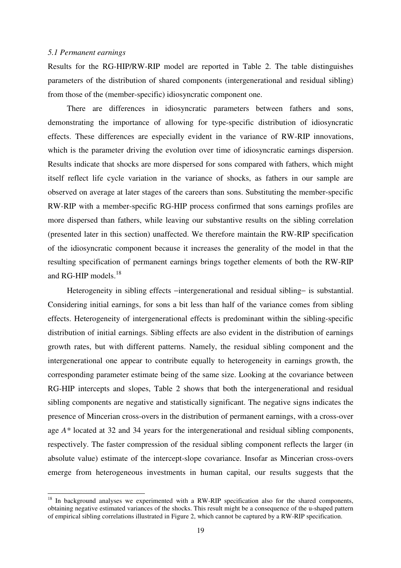#### *5.1 Permanent earnings*

 $\overline{a}$ 

Results for the RG-HIP/RW-RIP model are reported in Table 2. The table distinguishes parameters of the distribution of shared components (intergenerational and residual sibling) from those of the (member-specific) idiosyncratic component one.

There are differences in idiosyncratic parameters between fathers and sons, demonstrating the importance of allowing for type-specific distribution of idiosyncratic effects. These differences are especially evident in the variance of RW-RIP innovations, which is the parameter driving the evolution over time of idiosyncratic earnings dispersion. Results indicate that shocks are more dispersed for sons compared with fathers, which might itself reflect life cycle variation in the variance of shocks, as fathers in our sample are observed on average at later stages of the careers than sons. Substituting the member-specific RW-RIP with a member-specific RG-HIP process confirmed that sons earnings profiles are more dispersed than fathers, while leaving our substantive results on the sibling correlation (presented later in this section) unaffected. We therefore maintain the RW-RIP specification of the idiosyncratic component because it increases the generality of the model in that the resulting specification of permanent earnings brings together elements of both the RW-RIP and RG-HIP models. $^{18}$ 

Heterogeneity in sibling effects −intergenerational and residual sibling– is substantial. Considering initial earnings, for sons a bit less than half of the variance comes from sibling effects. Heterogeneity of intergenerational effects is predominant within the sibling-specific distribution of initial earnings. Sibling effects are also evident in the distribution of earnings growth rates, but with different patterns. Namely, the residual sibling component and the intergenerational one appear to contribute equally to heterogeneity in earnings growth, the corresponding parameter estimate being of the same size. Looking at the covariance between RG-HIP intercepts and slopes, Table 2 shows that both the intergenerational and residual sibling components are negative and statistically significant. The negative signs indicates the presence of Mincerian cross-overs in the distribution of permanent earnings, with a cross-over age *A\** located at 32 and 34 years for the intergenerational and residual sibling components, respectively. The faster compression of the residual sibling component reflects the larger (in absolute value) estimate of the intercept-slope covariance. Insofar as Mincerian cross-overs emerge from heterogeneous investments in human capital, our results suggests that the

 $18$  In background analyses we experimented with a RW-RIP specification also for the shared components, obtaining negative estimated variances of the shocks. This result might be a consequence of the u-shaped pattern of empirical sibling correlations illustrated in Figure 2, which cannot be captured by a RW-RIP specification.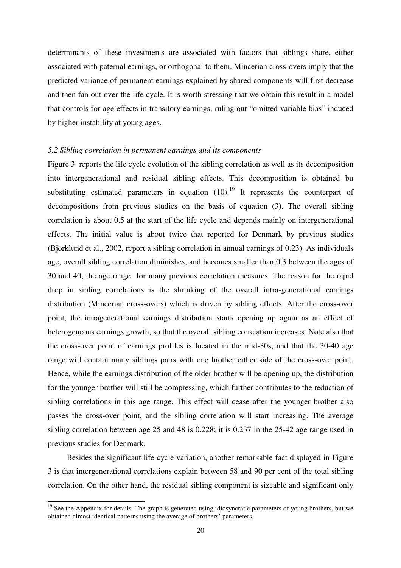determinants of these investments are associated with factors that siblings share, either associated with paternal earnings, or orthogonal to them. Mincerian cross-overs imply that the predicted variance of permanent earnings explained by shared components will first decrease and then fan out over the life cycle. It is worth stressing that we obtain this result in a model that controls for age effects in transitory earnings, ruling out "omitted variable bias" induced by higher instability at young ages.

### *5.2 Sibling correlation in permanent earnings and its components*

Figure 3 reports the life cycle evolution of the sibling correlation as well as its decomposition into intergenerational and residual sibling effects. This decomposition is obtained bu substituting estimated parameters in equation  $(10)$ .<sup>19</sup> It represents the counterpart of decompositions from previous studies on the basis of equation (3). The overall sibling correlation is about 0.5 at the start of the life cycle and depends mainly on intergenerational effects. The initial value is about twice that reported for Denmark by previous studies (Björklund et al., 2002, report a sibling correlation in annual earnings of 0.23). As individuals age, overall sibling correlation diminishes, and becomes smaller than 0.3 between the ages of 30 and 40, the age range for many previous correlation measures. The reason for the rapid drop in sibling correlations is the shrinking of the overall intra-generational earnings distribution (Mincerian cross-overs) which is driven by sibling effects. After the cross-over point, the intragenerational earnings distribution starts opening up again as an effect of heterogeneous earnings growth, so that the overall sibling correlation increases. Note also that the cross-over point of earnings profiles is located in the mid-30s, and that the 30-40 age range will contain many siblings pairs with one brother either side of the cross-over point. Hence, while the earnings distribution of the older brother will be opening up, the distribution for the younger brother will still be compressing, which further contributes to the reduction of sibling correlations in this age range. This effect will cease after the younger brother also passes the cross-over point, and the sibling correlation will start increasing. The average sibling correlation between age 25 and 48 is 0.228; it is 0.237 in the 25-42 age range used in previous studies for Denmark.

Besides the significant life cycle variation, another remarkable fact displayed in Figure 3 is that intergenerational correlations explain between 58 and 90 per cent of the total sibling correlation. On the other hand, the residual sibling component is sizeable and significant only

<sup>&</sup>lt;sup>19</sup> See the Appendix for details. The graph is generated using idiosyncratic parameters of young brothers, but we obtained almost identical patterns using the average of brothers' parameters.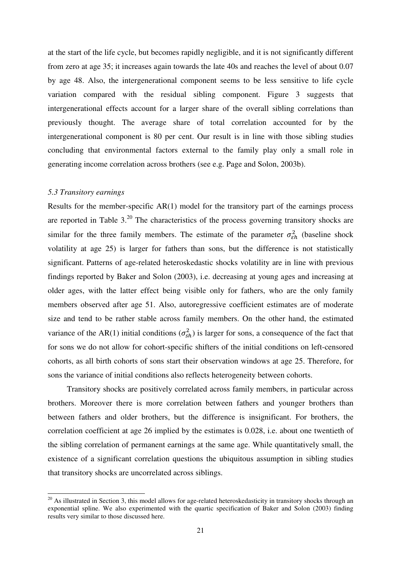at the start of the life cycle, but becomes rapidly negligible, and it is not significantly different from zero at age 35; it increases again towards the late 40s and reaches the level of about 0.07 by age 48. Also, the intergenerational component seems to be less sensitive to life cycle variation compared with the residual sibling component. Figure 3 suggests that intergenerational effects account for a larger share of the overall sibling correlations than previously thought. The average share of total correlation accounted for by the intergenerational component is 80 per cent. Our result is in line with those sibling studies concluding that environmental factors external to the family play only a small role in generating income correlation across brothers (see e.g. Page and Solon, 2003b).

#### *5.3 Transitory earnings*

 $\overline{a}$ 

Results for the member-specific AR(1) model for the transitory part of the earnings process are reported in Table  $3<sup>20</sup>$ . The characteristics of the process governing transitory shocks are similar for the three family members. The estimate of the parameter  $\sigma_{\varepsilon h}^2$  (baseline shock volatility at age 25) is larger for fathers than sons, but the difference is not statistically significant. Patterns of age-related heteroskedastic shocks volatility are in line with previous findings reported by Baker and Solon (2003), i.e. decreasing at young ages and increasing at older ages, with the latter effect being visible only for fathers, who are the only family members observed after age 51. Also, autoregressive coefficient estimates are of moderate size and tend to be rather stable across family members. On the other hand, the estimated variance of the AR(1) initial conditions  $(\sigma_{\text{sh}}^2)$  is larger for sons, a consequence of the fact that for sons we do not allow for cohort-specific shifters of the initial conditions on left-censored cohorts, as all birth cohorts of sons start their observation windows at age 25. Therefore, for sons the variance of initial conditions also reflects heterogeneity between cohorts.

Transitory shocks are positively correlated across family members, in particular across brothers. Moreover there is more correlation between fathers and younger brothers than between fathers and older brothers, but the difference is insignificant. For brothers, the correlation coefficient at age 26 implied by the estimates is 0.028, i.e. about one twentieth of the sibling correlation of permanent earnings at the same age. While quantitatively small, the existence of a significant correlation questions the ubiquitous assumption in sibling studies that transitory shocks are uncorrelated across siblings.

 $20$  As illustrated in Section 3, this model allows for age-related heteroskedasticity in transitory shocks through an exponential spline. We also experimented with the quartic specification of Baker and Solon (2003) finding results very similar to those discussed here.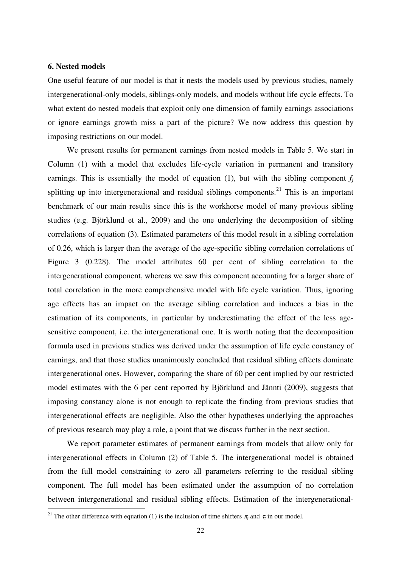#### **6. Nested models**

 $\overline{a}$ 

One useful feature of our model is that it nests the models used by previous studies, namely intergenerational-only models, siblings-only models, and models without life cycle effects. To what extent do nested models that exploit only one dimension of family earnings associations or ignore earnings growth miss a part of the picture? We now address this question by imposing restrictions on our model.

We present results for permanent earnings from nested models in Table 5. We start in Column (1) with a model that excludes life-cycle variation in permanent and transitory earnings. This is essentially the model of equation (1), but with the sibling component  $f_i$ splitting up into intergenerational and residual siblings components.<sup>21</sup> This is an important benchmark of our main results since this is the workhorse model of many previous sibling studies (e.g. Björklund et al., 2009) and the one underlying the decomposition of sibling correlations of equation (3). Estimated parameters of this model result in a sibling correlation of 0.26, which is larger than the average of the age-specific sibling correlation correlations of Figure 3 (0.228). The model attributes 60 per cent of sibling correlation to the intergenerational component, whereas we saw this component accounting for a larger share of total correlation in the more comprehensive model with life cycle variation. Thus, ignoring age effects has an impact on the average sibling correlation and induces a bias in the estimation of its components, in particular by underestimating the effect of the less agesensitive component, i.e. the intergenerational one. It is worth noting that the decomposition formula used in previous studies was derived under the assumption of life cycle constancy of earnings, and that those studies unanimously concluded that residual sibling effects dominate intergenerational ones. However, comparing the share of 60 per cent implied by our restricted model estimates with the 6 per cent reported by Björklund and Jännti (2009), suggests that imposing constancy alone is not enough to replicate the finding from previous studies that intergenerational effects are negligible. Also the other hypotheses underlying the approaches of previous research may play a role, a point that we discuss further in the next section.

We report parameter estimates of permanent earnings from models that allow only for intergenerational effects in Column (2) of Table 5. The intergenerational model is obtained from the full model constraining to zero all parameters referring to the residual sibling component. The full model has been estimated under the assumption of no correlation between intergenerational and residual sibling effects. Estimation of the intergenerational-

<sup>&</sup>lt;sup>21</sup> The other difference with equation (1) is the inclusion of time shifters  $\pi_t$  and  $\tau_t$  in our model.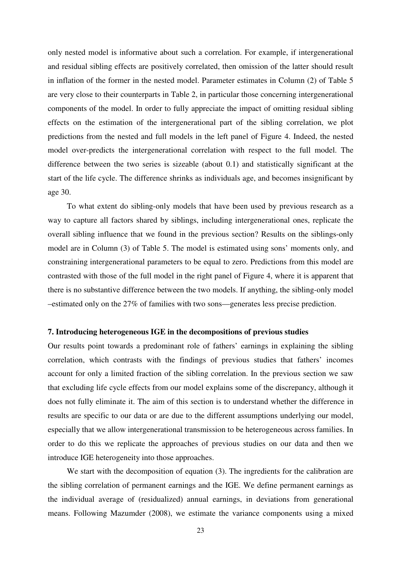only nested model is informative about such a correlation. For example, if intergenerational and residual sibling effects are positively correlated, then omission of the latter should result in inflation of the former in the nested model. Parameter estimates in Column (2) of Table 5 are very close to their counterparts in Table 2, in particular those concerning intergenerational components of the model. In order to fully appreciate the impact of omitting residual sibling effects on the estimation of the intergenerational part of the sibling correlation, we plot predictions from the nested and full models in the left panel of Figure 4. Indeed, the nested model over-predicts the intergenerational correlation with respect to the full model. The difference between the two series is sizeable (about 0.1) and statistically significant at the start of the life cycle. The difference shrinks as individuals age, and becomes insignificant by age 30.

To what extent do sibling-only models that have been used by previous research as a way to capture all factors shared by siblings, including intergenerational ones, replicate the overall sibling influence that we found in the previous section? Results on the siblings-only model are in Column (3) of Table 5. The model is estimated using sons' moments only, and constraining intergenerational parameters to be equal to zero. Predictions from this model are contrasted with those of the full model in the right panel of Figure 4, where it is apparent that there is no substantive difference between the two models. If anything, the sibling-only model –estimated only on the 27% of families with two sons—generates less precise prediction.

#### **7. Introducing heterogeneous IGE in the decompositions of previous studies**

Our results point towards a predominant role of fathers' earnings in explaining the sibling correlation, which contrasts with the findings of previous studies that fathers' incomes account for only a limited fraction of the sibling correlation. In the previous section we saw that excluding life cycle effects from our model explains some of the discrepancy, although it does not fully eliminate it. The aim of this section is to understand whether the difference in results are specific to our data or are due to the different assumptions underlying our model, especially that we allow intergenerational transmission to be heterogeneous across families. In order to do this we replicate the approaches of previous studies on our data and then we introduce IGE heterogeneity into those approaches.

We start with the decomposition of equation (3). The ingredients for the calibration are the sibling correlation of permanent earnings and the IGE. We define permanent earnings as the individual average of (residualized) annual earnings, in deviations from generational means. Following Mazumder (2008), we estimate the variance components using a mixed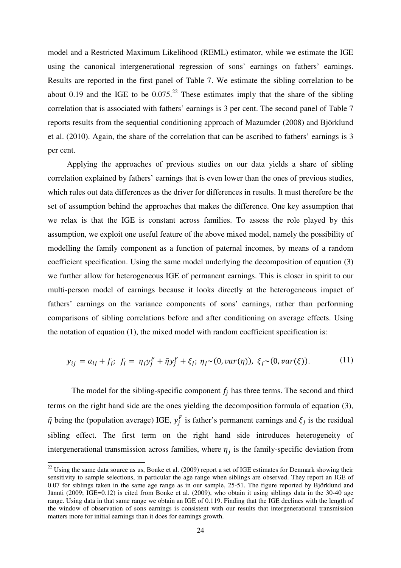model and a Restricted Maximum Likelihood (REML) estimator, while we estimate the IGE using the canonical intergenerational regression of sons' earnings on fathers' earnings. Results are reported in the first panel of Table 7. We estimate the sibling correlation to be about 0.19 and the IGE to be  $0.075<sup>22</sup>$ . These estimates imply that the share of the sibling correlation that is associated with fathers' earnings is 3 per cent. The second panel of Table 7 reports results from the sequential conditioning approach of Mazumder (2008) and Björklund et al. (2010). Again, the share of the correlation that can be ascribed to fathers' earnings is 3 per cent.

Applying the approaches of previous studies on our data yields a share of sibling correlation explained by fathers' earnings that is even lower than the ones of previous studies, which rules out data differences as the driver for differences in results. It must therefore be the set of assumption behind the approaches that makes the difference. One key assumption that we relax is that the IGE is constant across families. To assess the role played by this assumption, we exploit one useful feature of the above mixed model, namely the possibility of modelling the family component as a function of paternal incomes, by means of a random coefficient specification. Using the same model underlying the decomposition of equation (3) we further allow for heterogeneous IGE of permanent earnings. This is closer in spirit to our multi-person model of earnings because it looks directly at the heterogeneous impact of fathers' earnings on the variance components of sons' earnings, rather than performing comparisons of sibling correlations before and after conditioning on average effects. Using the notation of equation (1), the mixed model with random coefficient specification is:

$$
y_{ij} = a_{ij} + f_j; \ f_j = \eta_j y_j^F + \bar{\eta} y_j^F + \xi_j; \ \eta_j \sim (0, \text{var}(\eta)), \ \xi_j \sim (0, \text{var}(\xi)). \tag{11}
$$

The model for the sibling-specific component  $f_j$  has three terms. The second and third terms on the right hand side are the ones yielding the decomposition formula of equation (3),  $\bar{\eta}$  being the (population average) IGE,  $y_j^F$  is father's permanent earnings and  $\xi_j$  is the residual sibling effect. The first term on the right hand side introduces heterogeneity of intergenerational transmission across families, where  $\eta_j$  is the family-specific deviation from

 $22$  Using the same data source as us, Bonke et al. (2009) report a set of IGE estimates for Denmark showing their sensitivity to sample selections, in particular the age range when siblings are observed. They report an IGE of 0.07 for siblings taken in the same age range as in our sample, 25-51. The figure reported by Björklund and Jännti (2009; IGE=0.12) is cited from Bonke et al. (2009), who obtain it using siblings data in the 30-40 age range. Using data in that same range we obtain an IGE of 0.119. Finding that the IGE declines with the length of the window of observation of sons earnings is consistent with our results that intergenerational transmission matters more for initial earnings than it does for earnings growth.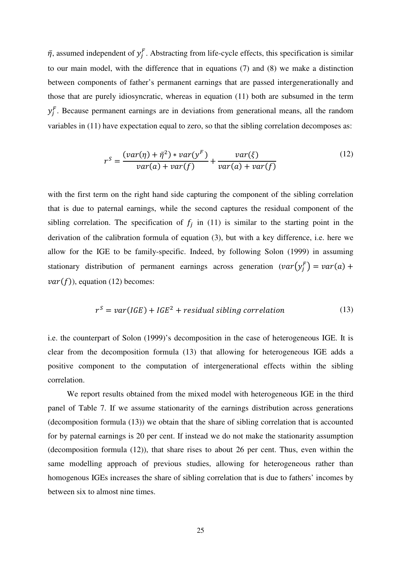$\bar{\eta}$ , assumed independent of  $y_j^F$ . Abstracting from life-cycle effects, this specification is similar to our main model, with the difference that in equations (7) and (8) we make a distinction between components of father's permanent earnings that are passed intergenerationally and those that are purely idiosyncratic, whereas in equation (11) both are subsumed in the term  $y_j^F$ . Because permanent earnings are in deviations from generational means, all the random variables in (11) have expectation equal to zero, so that the sibling correlation decomposes as:

$$
rS = \frac{(var(\eta) + \bar{\eta}^2) * var(y^F)}{var(a) + var(f)} + \frac{var(\xi)}{var(a) + var(f)}
$$
(12)

with the first term on the right hand side capturing the component of the sibling correlation that is due to paternal earnings, while the second captures the residual component of the sibling correlation. The specification of  $f_j$  in (11) is similar to the starting point in the derivation of the calibration formula of equation (3), but with a key difference, i.e. here we allow for the IGE to be family-specific. Indeed, by following Solon (1999) in assuming stationary distribution of permanent earnings across generation  $(var(y_j^F) = var(a) +$  $var(f)$ ), equation (12) becomes:

$$
rS = var(IGE) + IGE2 + residual sibling correlation
$$
 (13)

i.e. the counterpart of Solon (1999)'s decomposition in the case of heterogeneous IGE. It is clear from the decomposition formula (13) that allowing for heterogeneous IGE adds a positive component to the computation of intergenerational effects within the sibling correlation.

We report results obtained from the mixed model with heterogeneous IGE in the third panel of Table 7. If we assume stationarity of the earnings distribution across generations (decomposition formula (13)) we obtain that the share of sibling correlation that is accounted for by paternal earnings is 20 per cent. If instead we do not make the stationarity assumption (decomposition formula (12)), that share rises to about 26 per cent. Thus, even within the same modelling approach of previous studies, allowing for heterogeneous rather than homogenous IGEs increases the share of sibling correlation that is due to fathers' incomes by between six to almost nine times.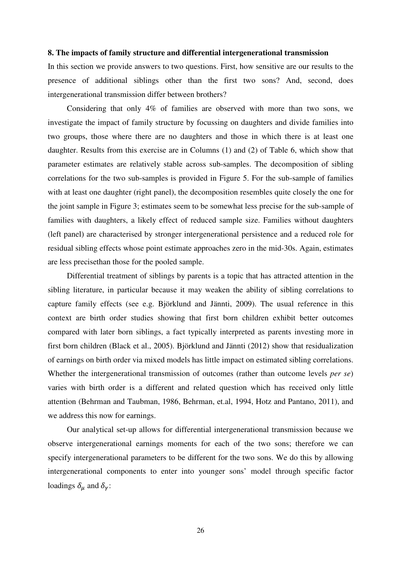#### **8. The impacts of family structure and differential intergenerational transmission**

In this section we provide answers to two questions. First, how sensitive are our results to the presence of additional siblings other than the first two sons? And, second, does intergenerational transmission differ between brothers?

Considering that only 4% of families are observed with more than two sons, we investigate the impact of family structure by focussing on daughters and divide families into two groups, those where there are no daughters and those in which there is at least one daughter. Results from this exercise are in Columns (1) and (2) of Table 6, which show that parameter estimates are relatively stable across sub-samples. The decomposition of sibling correlations for the two sub-samples is provided in Figure 5. For the sub-sample of families with at least one daughter (right panel), the decomposition resembles quite closely the one for the joint sample in Figure 3; estimates seem to be somewhat less precise for the sub-sample of families with daughters, a likely effect of reduced sample size. Families without daughters (left panel) are characterised by stronger intergenerational persistence and a reduced role for residual sibling effects whose point estimate approaches zero in the mid-30s. Again, estimates are less precisethan those for the pooled sample.

Differential treatment of siblings by parents is a topic that has attracted attention in the sibling literature, in particular because it may weaken the ability of sibling correlations to capture family effects (see e.g. Björklund and Jännti, 2009). The usual reference in this context are birth order studies showing that first born children exhibit better outcomes compared with later born siblings, a fact typically interpreted as parents investing more in first born children (Black et al., 2005). Björklund and Jännti (2012) show that residualization of earnings on birth order via mixed models has little impact on estimated sibling correlations. Whether the intergenerational transmission of outcomes (rather than outcome levels *per se*) varies with birth order is a different and related question which has received only little attention (Behrman and Taubman, 1986, Behrman, et.al, 1994, Hotz and Pantano, 2011), and we address this now for earnings.

Our analytical set-up allows for differential intergenerational transmission because we observe intergenerational earnings moments for each of the two sons; therefore we can specify intergenerational parameters to be different for the two sons. We do this by allowing intergenerational components to enter into younger sons' model through specific factor loadings  $\delta_{\mu}$  and  $\delta_{\nu}$ :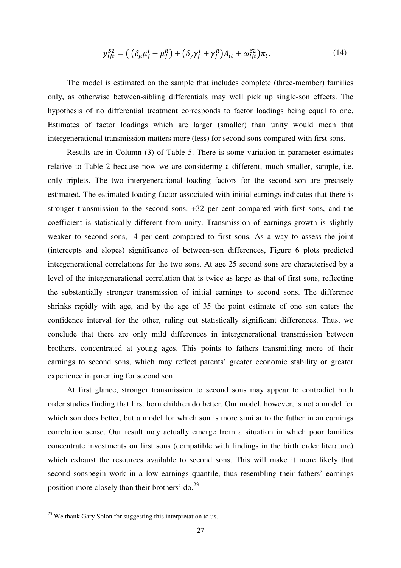$$
y_{ijt}^{S2} = \left( \left( \delta_{\mu} \mu_j^I + \mu_j^R \right) + \left( \delta_{\gamma} \gamma_j^I + \gamma_j^R \right) A_{it} + \omega_{ijt}^{S2} \right) \pi_t. \tag{14}
$$

The model is estimated on the sample that includes complete (three-member) families only, as otherwise between-sibling differentials may well pick up single-son effects. The hypothesis of no differential treatment corresponds to factor loadings being equal to one. Estimates of factor loadings which are larger (smaller) than unity would mean that intergenerational transmission matters more (less) for second sons compared with first sons.

Results are in Column (3) of Table 5. There is some variation in parameter estimates relative to Table 2 because now we are considering a different, much smaller, sample, i.e. only triplets. The two intergenerational loading factors for the second son are precisely estimated. The estimated loading factor associated with initial earnings indicates that there is stronger transmission to the second sons, +32 per cent compared with first sons, and the coefficient is statistically different from unity. Transmission of earnings growth is slightly weaker to second sons, -4 per cent compared to first sons. As a way to assess the joint (intercepts and slopes) significance of between-son differences, Figure 6 plots predicted intergenerational correlations for the two sons. At age 25 second sons are characterised by a level of the intergenerational correlation that is twice as large as that of first sons, reflecting the substantially stronger transmission of initial earnings to second sons. The difference shrinks rapidly with age, and by the age of 35 the point estimate of one son enters the confidence interval for the other, ruling out statistically significant differences. Thus, we conclude that there are only mild differences in intergenerational transmission between brothers, concentrated at young ages. This points to fathers transmitting more of their earnings to second sons, which may reflect parents' greater economic stability or greater experience in parenting for second son.

At first glance, stronger transmission to second sons may appear to contradict birth order studies finding that first born children do better. Our model, however, is not a model for which son does better, but a model for which son is more similar to the father in an earnings correlation sense. Our result may actually emerge from a situation in which poor families concentrate investments on first sons (compatible with findings in the birth order literature) which exhaust the resources available to second sons. This will make it more likely that second sonsbegin work in a low earnings quantile, thus resembling their fathers' earnings position more closely than their brothers' do. $^{23}$ 

 $2<sup>23</sup>$  We thank Gary Solon for suggesting this interpretation to us.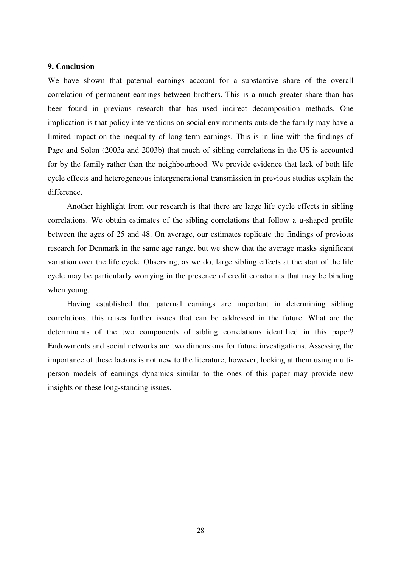#### **9. Conclusion**

We have shown that paternal earnings account for a substantive share of the overall correlation of permanent earnings between brothers. This is a much greater share than has been found in previous research that has used indirect decomposition methods. One implication is that policy interventions on social environments outside the family may have a limited impact on the inequality of long-term earnings. This is in line with the findings of Page and Solon (2003a and 2003b) that much of sibling correlations in the US is accounted for by the family rather than the neighbourhood. We provide evidence that lack of both life cycle effects and heterogeneous intergenerational transmission in previous studies explain the difference.

Another highlight from our research is that there are large life cycle effects in sibling correlations. We obtain estimates of the sibling correlations that follow a u-shaped profile between the ages of 25 and 48. On average, our estimates replicate the findings of previous research for Denmark in the same age range, but we show that the average masks significant variation over the life cycle. Observing, as we do, large sibling effects at the start of the life cycle may be particularly worrying in the presence of credit constraints that may be binding when young.

Having established that paternal earnings are important in determining sibling correlations, this raises further issues that can be addressed in the future. What are the determinants of the two components of sibling correlations identified in this paper? Endowments and social networks are two dimensions for future investigations. Assessing the importance of these factors is not new to the literature; however, looking at them using multiperson models of earnings dynamics similar to the ones of this paper may provide new insights on these long-standing issues.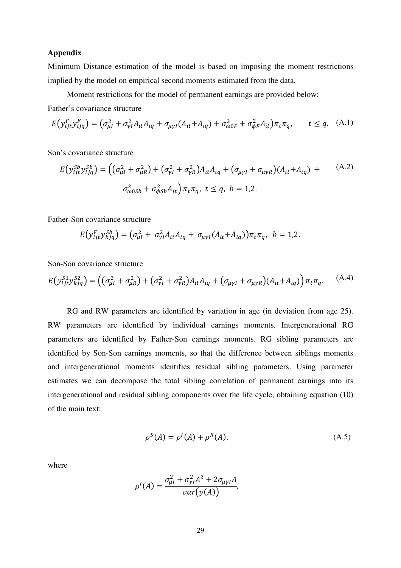#### **Appendix**

Minimum Distance estimation of the model is based on imposing the moment restrictions implied by the model on empirical second moments estimated from the data.

Moment restrictions for the model of permanent earnings are provided below:

Father's covariance structure

$$
E(y_{ijt}^F y_{ijq}^F) = (\sigma_{\mu l}^2 + \sigma_{\gamma l}^2 A_{it} A_{iq} + \sigma_{\mu \gamma l} (A_{it} + A_{iq}) + \sigma_{\omega 0F}^2 + \sigma_{\phi F}^2 A_{it}) \pi_t \pi_q, \qquad t \le q. \quad (A.1)
$$

Son's covariance structure

$$
E(y_{ijt}^{Sb} y_{ijq}^{Sb}) = ((\sigma_{\mu I}^2 + \sigma_{\mu R}^2) + (\sigma_{\gamma I}^2 + \sigma_{\gamma R}^2)A_{it}A_{iq} + (\sigma_{\mu \gamma I} + \sigma_{\mu \gamma R})(A_{it} + A_{iq}) +
$$
  

$$
\sigma_{\omega 0Sb}^2 + \sigma_{\phi Sb}^2 A_{it}) \pi_t \pi_q, t \le q, b = 1, 2.
$$
 (A.2)

Father-Son covariance structure

$$
E(y_{ijt}^F y_{kjq}^{Sb}) = (\sigma_{\mu I}^2 + \sigma_{\gamma I}^2 A_{it} A_{iq} + \sigma_{\mu \gamma I} (A_{it} + A_{iq}) \pi_t \pi_q, \ b = 1,2.
$$

Son-Son covariance structure

$$
E(y_{ijt}^{S1}y_{kjq}^{S2}) = ((\sigma_{\mu I}^2 + \sigma_{\mu R}^2) + (\sigma_{\gamma I}^2 + \sigma_{\gamma R}^2)A_{it}A_{iq} + (\sigma_{\mu \gamma I} + \sigma_{\mu \gamma R})(A_{it} + A_{iq})\sigma_{\tau \pi q}.
$$
 (A.4)

RG and RW parameters are identified by variation in age (in deviation from age 25). RW parameters are identified by individual earnings moments. Intergenerational RG parameters are identified by Father-Son earnings moments. RG sibling parameters are identified by Son-Son earnings moments, so that the difference between siblings moments and intergenerational moments identifies residual sibling parameters. Using parameter estimates we can decompose the total sibling correlation of permanent earnings into its intergenerational and residual sibling components over the life cycle, obtaining equation (10) of the main text:

$$
\rho^{S}(A) = \rho^{I}(A) + \rho^{R}(A). \tag{A.5}
$$

where

$$
\rho^I(A) = \frac{\sigma_{\mu I}^2 + \sigma_{\gamma I}^2 A^2 + 2\sigma_{\mu \gamma I} A}{var(y(A))},
$$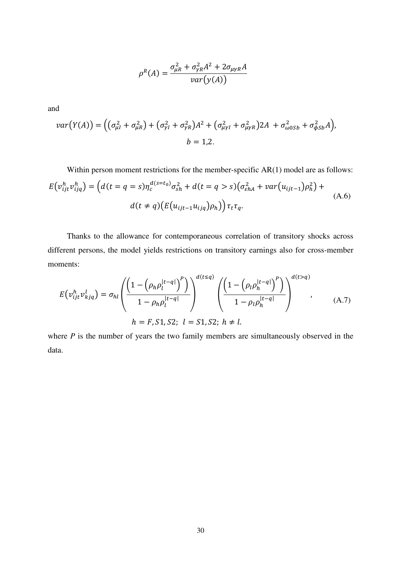$$
\rho^R(A) = \frac{\sigma_{\mu R}^2 + \sigma_{\gamma R}^2 A^2 + 2\sigma_{\mu \gamma R} A}{var(y(A))}
$$

and

$$
var(Y(A)) = ((\sigma_{\mu I}^2 + \sigma_{\mu R}^2) + (\sigma_{\gamma I}^2 + \sigma_{\gamma R}^2)A^2 + (\sigma_{\mu \gamma I}^2 + \sigma_{\mu \gamma R}^2)2A + \sigma_{\omega 0Sb}^2 + \sigma_{\phi Sb}^2A),
$$
  

$$
b = 1,2.
$$

Within person moment restrictions for the member-specific AR(1) model are as follows:  $E(v_{ijt}^h v_{ijq}^h) = (d(t = q = s)\eta_c^{d(s = t_0)}\sigma_{sh}^2 + d(t = q > s)(\sigma_{ehA}^2 + var(u_{ijt-1})\rho_h^2) +$  $d(t \neq q)(E(u_{ijt-1}u_{ijq})\rho_h)) \tau_t \tau_q.$ (A.6)

Thanks to the allowance for contemporaneous correlation of transitory shocks across different persons, the model yields restrictions on transitory earnings also for cross-member moments:

$$
E(v_{ijt}^h v_{kjq}^l) = \sigma_{hl} \left( \frac{\left(1 - \left(\rho_h \rho_l^{|t-q|}\right)^p\right)}{1 - \rho_h \rho_l^{|t-q|}}\right)^{d(t \le q)} \left( \frac{\left(1 - \left(\rho_l \rho_h^{|t-q|}\right)^p\right)}{1 - \rho_l \rho_h^{|t-q|}}\right)^{d(t > q)}
$$
\n
$$
h = F, S1, S2; \ l = S1, S2; \ h \neq l.
$$
\n(A.7)

where *P* is the number of years the two family members are simultaneously observed in the data.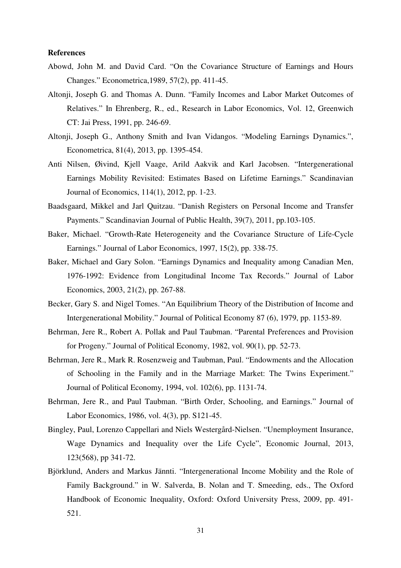#### **References**

- Abowd, John M. and David Card. "On the Covariance Structure of Earnings and Hours Changes." Econometrica,1989, 57(2), pp. 411-45.
- Altonji, Joseph G. and Thomas A. Dunn. "Family Incomes and Labor Market Outcomes of Relatives." In Ehrenberg, R., ed., Research in Labor Economics, Vol. 12, Greenwich CT: Jai Press, 1991, pp. 246-69.
- Altonji, Joseph G., Anthony Smith and Ivan Vidangos. "Modeling Earnings Dynamics.", Econometrica, 81(4), 2013, pp. 1395-454.
- Anti Nilsen, Øivind, Kjell Vaage, Arild Aakvik and Karl Jacobsen. "Intergenerational Earnings Mobility Revisited: Estimates Based on Lifetime Earnings." Scandinavian Journal of Economics, 114(1), 2012, pp. 1-23.
- Baadsgaard, Mikkel and Jarl Quitzau. "Danish Registers on Personal Income and Transfer Payments." Scandinavian Journal of Public Health, 39(7), 2011, pp.103-105.
- Baker, Michael. "Growth-Rate Heterogeneity and the Covariance Structure of Life-Cycle Earnings." Journal of Labor Economics, 1997, 15(2), pp. 338-75.
- Baker, Michael and Gary Solon. "Earnings Dynamics and Inequality among Canadian Men, 1976-1992: Evidence from Longitudinal Income Tax Records." Journal of Labor Economics, 2003, 21(2), pp. 267-88.
- Becker, Gary S. and Nigel Tomes. "An Equilibrium Theory of the Distribution of Income and Intergenerational Mobility." Journal of Political Economy 87 (6), 1979, pp. 1153-89.
- Behrman, Jere R., Robert A. Pollak and Paul Taubman. "Parental Preferences and Provision for Progeny." Journal of Political Economy, 1982, vol. 90(1), pp. 52-73.
- Behrman, Jere R., Mark R. Rosenzweig and Taubman, Paul. "Endowments and the Allocation of Schooling in the Family and in the Marriage Market: The Twins Experiment." Journal of Political Economy, 1994, vol. 102(6), pp. 1131-74.
- Behrman, Jere R., and Paul Taubman. "Birth Order, Schooling, and Earnings." Journal of Labor Economics, 1986, vol. 4(3), pp. S121-45.
- Bingley, Paul, Lorenzo Cappellari and Niels Westergård-Nielsen. "Unemployment Insurance, Wage Dynamics and Inequality over the Life Cycle", Economic Journal, 2013, 123(568), pp 341-72.
- Björklund, Anders and Markus Jännti. "Intergenerational Income Mobility and the Role of Family Background." in W. Salverda, B. Nolan and T. Smeeding, eds., The Oxford Handbook of Economic Inequality, Oxford: Oxford University Press, 2009, pp. 491- 521.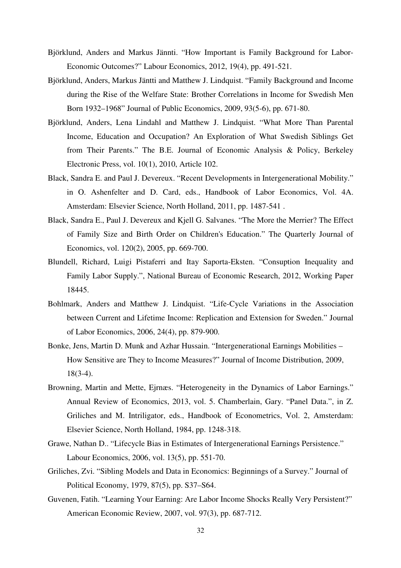- Björklund, Anders and Markus Jännti. "How Important is Family Background for Labor-Economic Outcomes?" Labour Economics, 2012, 19(4), pp. 491-521.
- Björklund, Anders, Markus Jäntti and Matthew J. Lindquist. "Family Background and Income during the Rise of the Welfare State: Brother Correlations in Income for Swedish Men Born 1932–1968" Journal of Public Economics, 2009, 93(5-6), pp. 671-80.
- Björklund, Anders, Lena Lindahl and Matthew J. Lindquist. "What More Than Parental Income, Education and Occupation? An Exploration of What Swedish Siblings Get from Their Parents." The B.E. Journal of Economic Analysis & Policy, Berkeley Electronic Press, vol. 10(1), 2010, Article 102.
- Black, Sandra E. and Paul J. Devereux. "Recent Developments in Intergenerational Mobility." in O. Ashenfelter and D. Card, eds., Handbook of Labor Economics, Vol. 4A. Amsterdam: Elsevier Science, North Holland, 2011, pp. 1487-541 .
- Black, Sandra E., Paul J. Devereux and Kjell G. Salvanes. "The More the Merrier? The Effect of Family Size and Birth Order on Children's Education." The Quarterly Journal of Economics, vol. 120(2), 2005, pp. 669-700.
- Blundell, Richard, Luigi Pistaferri and Itay Saporta-Eksten. "Consuption Inequality and Family Labor Supply.", National Bureau of Economic Research, 2012, Working Paper 18445.
- Bohlmark, Anders and Matthew J. Lindquist. "Life-Cycle Variations in the Association between Current and Lifetime Income: Replication and Extension for Sweden." Journal of Labor Economics, 2006, 24(4), pp. 879-900.
- Bonke, Jens, Martin D. Munk and Azhar Hussain. "Intergenerational Earnings Mobilities How Sensitive are They to Income Measures?" Journal of Income Distribution, 2009, 18(3-4).
- Browning, Martin and Mette, Ejrnæs. "Heterogeneity in the Dynamics of Labor Earnings." Annual Review of Economics, 2013, vol. 5. Chamberlain, Gary. "Panel Data.", in Z. Griliches and M. Intriligator, eds., Handbook of Econometrics, Vol. 2, Amsterdam: Elsevier Science, North Holland, 1984, pp. 1248-318.
- Grawe, Nathan D.. "Lifecycle Bias in Estimates of Intergenerational Earnings Persistence." Labour Economics, 2006, vol. 13(5), pp. 551-70.
- Griliches, Zvi. "Sibling Models and Data in Economics: Beginnings of a Survey." Journal of Political Economy, 1979, 87(5), pp. S37–S64.
- Guvenen, Fatih. "Learning Your Earning: Are Labor Income Shocks Really Very Persistent?" American Economic Review, 2007, vol. 97(3), pp. 687-712.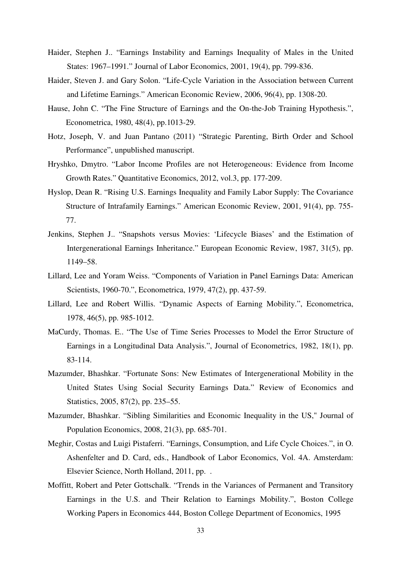- Haider, Stephen J.. "Earnings Instability and Earnings Inequality of Males in the United States: 1967–1991." Journal of Labor Economics, 2001, 19(4), pp. 799-836.
- Haider, Steven J. and Gary Solon. "Life-Cycle Variation in the Association between Current and Lifetime Earnings." American Economic Review, 2006, 96(4), pp. 1308-20.
- Hause, John C. "The Fine Structure of Earnings and the On-the-Job Training Hypothesis.", Econometrica, 1980, 48(4), pp.1013-29.
- Hotz, Joseph, V. and Juan Pantano (2011) "Strategic Parenting, Birth Order and School Performance", unpublished manuscript.
- Hryshko, Dmytro. "Labor Income Profiles are not Heterogeneous: Evidence from Income Growth Rates." Quantitative Economics, 2012, vol.3, pp. 177-209.
- Hyslop, Dean R. "Rising U.S. Earnings Inequality and Family Labor Supply: The Covariance Structure of Intrafamily Earnings." American Economic Review, 2001, 91(4), pp. 755- 77.
- Jenkins, Stephen J.. "Snapshots versus Movies: 'Lifecycle Biases' and the Estimation of Intergenerational Earnings Inheritance." European Economic Review, 1987, 31(5), pp. 1149–58.
- Lillard, Lee and Yoram Weiss. "Components of Variation in Panel Earnings Data: American Scientists, 1960-70.", Econometrica, 1979, 47(2), pp. 437-59.
- Lillard, Lee and Robert Willis. "Dynamic Aspects of Earning Mobility.", Econometrica, 1978, 46(5), pp. 985-1012.
- MaCurdy, Thomas. E.. "The Use of Time Series Processes to Model the Error Structure of Earnings in a Longitudinal Data Analysis.", Journal of Econometrics, 1982, 18(1), pp. 83-114.
- Mazumder, Bhashkar. "Fortunate Sons: New Estimates of Intergenerational Mobility in the United States Using Social Security Earnings Data." Review of Economics and Statistics, 2005, 87(2), pp. 235–55.
- Mazumder, Bhashkar. "Sibling Similarities and Economic Inequality in the US," Journal of Population Economics, 2008, 21(3), pp. 685-701.
- Meghir, Costas and Luigi Pistaferri. "Earnings, Consumption, and Life Cycle Choices.", in O. Ashenfelter and D. Card, eds., Handbook of Labor Economics, Vol. 4A. Amsterdam: Elsevier Science, North Holland, 2011, pp. .
- Moffitt, Robert and Peter Gottschalk. "Trends in the Variances of Permanent and Transitory Earnings in the U.S. and Their Relation to Earnings Mobility.", Boston College Working Papers in Economics 444, Boston College Department of Economics, 1995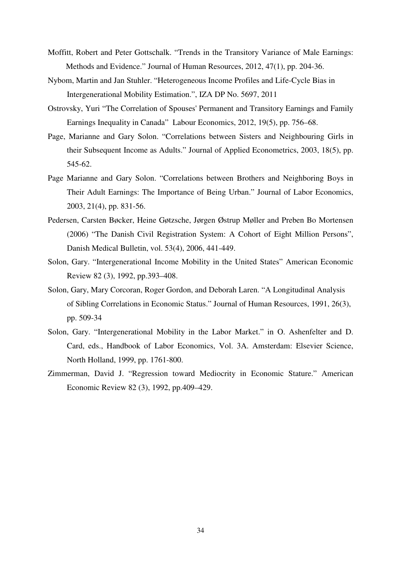- Moffitt, Robert and Peter Gottschalk. "Trends in the Transitory Variance of Male Earnings: Methods and Evidence." Journal of Human Resources, 2012, 47(1), pp. 204-36.
- Nybom, Martin and Jan Stuhler. "Heterogeneous Income Profiles and Life-Cycle Bias in Intergenerational Mobility Estimation.", IZA DP No. 5697, 2011
- Ostrovsky, Yuri "The Correlation of Spouses' Permanent and Transitory Earnings and Family Earnings Inequality in Canada" Labour Economics, 2012, 19(5), pp. 756–68.
- Page, Marianne and Gary Solon. "Correlations between Sisters and Neighbouring Girls in their Subsequent Income as Adults." Journal of Applied Econometrics, 2003, 18(5), pp. 545-62.
- Page Marianne and Gary Solon. "Correlations between Brothers and Neighboring Boys in Their Adult Earnings: The Importance of Being Urban." Journal of Labor Economics, 2003, 21(4), pp. 831-56.
- Pedersen, Carsten Bøcker, Heine Gøtzsche, Jørgen Østrup Møller and Preben Bo Mortensen (2006) "The Danish Civil Registration System: A Cohort of Eight Million Persons", Danish Medical Bulletin, vol. 53(4), 2006, 441-449.
- Solon, Gary. "Intergenerational Income Mobility in the United States" American Economic Review 82 (3), 1992, pp.393–408.
- Solon, Gary, Mary Corcoran, Roger Gordon, and Deborah Laren. "A Longitudinal Analysis of Sibling Correlations in Economic Status." Journal of Human Resources, 1991, 26(3), pp. 509-34
- Solon, Gary. "Intergenerational Mobility in the Labor Market." in O. Ashenfelter and D. Card, eds., Handbook of Labor Economics, Vol. 3A. Amsterdam: Elsevier Science, North Holland, 1999, pp. 1761-800.
- Zimmerman, David J. "Regression toward Mediocrity in Economic Stature." American Economic Review 82 (3), 1992, pp.409–429.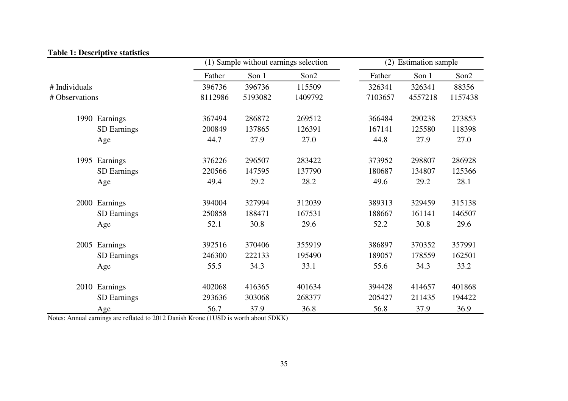| <b>Table 1: Descriptive statistics</b> |  |  |  |  |
|----------------------------------------|--|--|--|--|
|----------------------------------------|--|--|--|--|

| ~~~ <u>*</u> * <i>*</i> ***** |                    |         | (1) Sample without earnings selection |         | <b>Estimation</b> sample<br>(2) |         |         |  |
|-------------------------------|--------------------|---------|---------------------------------------|---------|---------------------------------|---------|---------|--|
|                               |                    | Father  | Son 1                                 | Son2    | Father                          | Son 1   | Son2    |  |
| # Individuals                 |                    | 396736  | 396736                                | 115509  | 326341                          | 326341  | 88356   |  |
| # Observations                |                    | 8112986 | 5193082                               | 1409792 | 7103657                         | 4557218 | 1157438 |  |
|                               | 1990 Earnings      | 367494  | 286872                                | 269512  | 366484                          | 290238  | 273853  |  |
|                               | <b>SD</b> Earnings | 200849  | 137865                                | 126391  | 167141                          | 125580  | 118398  |  |
|                               | Age                | 44.7    | 27.9                                  | 27.0    | 44.8                            | 27.9    | 27.0    |  |
|                               | 1995 Earnings      | 376226  | 296507                                | 283422  | 373952                          | 298807  | 286928  |  |
|                               | <b>SD</b> Earnings | 220566  | 147595                                | 137790  | 180687                          | 134807  | 125366  |  |
|                               | Age                | 49.4    | 29.2                                  | 28.2    | 49.6                            | 29.2    | 28.1    |  |
|                               | 2000 Earnings      | 394004  | 327994                                | 312039  | 389313                          | 329459  | 315138  |  |
|                               | <b>SD</b> Earnings | 250858  | 188471                                | 167531  | 188667                          | 161141  | 146507  |  |
|                               | Age                | 52.1    | 30.8                                  | 29.6    | 52.2                            | 30.8    | 29.6    |  |
|                               | 2005 Earnings      | 392516  | 370406                                | 355919  | 386897                          | 370352  | 357991  |  |
|                               | <b>SD</b> Earnings | 246300  | 222133                                | 195490  | 189057                          | 178559  | 162501  |  |
|                               | Age                | 55.5    | 34.3                                  | 33.1    | 55.6                            | 34.3    | 33.2    |  |
|                               | 2010 Earnings      | 402068  | 416365                                | 401634  | 394428                          | 414657  | 401868  |  |
|                               | <b>SD</b> Earnings | 293636  | 303068                                | 268377  | 205427                          | 211435  | 194422  |  |
|                               | Age                | 56.7    | 37.9                                  | 36.8    | 56.8                            | 37.9    | 36.9    |  |

Notes: Annual earnings are reflated to 2012 Danish Krone (1USD is worth about 5DKK)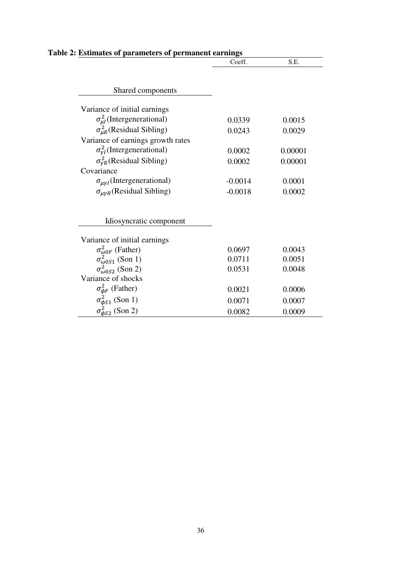|                                         | Coeff.    | S.E.    |
|-----------------------------------------|-----------|---------|
|                                         |           |         |
|                                         |           |         |
| Shared components                       |           |         |
| Variance of initial earnings            |           |         |
| $\sigma_{\mu}^2$ (Intergenerational)    | 0.0339    | 0.0015  |
| $\sigma_{\mu R}^2$ (Residual Sibling)   | 0.0243    | 0.0029  |
| Variance of earnings growth rates       |           |         |
| $\sigma_{\nu I}^2$ (Intergenerational)  | 0.0002    | 0.00001 |
| $\sigma_{vR}^2$ (Residual Sibling)      | 0.0002    | 0.00001 |
| Covariance                              |           |         |
| $\sigma_{\mu\nu I}$ (Intergenerational) | $-0.0014$ | 0.0001  |
| $\sigma_{\mu\nu R}$ (Residual Sibling)  | $-0.0018$ | 0.0002  |
| Idiosyncratic component                 |           |         |
|                                         |           |         |
| Variance of initial earnings            |           |         |
| $\sigma_{\omega 0F}^2$ (Father)         | 0.0697    | 0.0043  |
| $\sigma_{\omega 0S1}^2$ (Son 1)         | 0.0711    | 0.0051  |
| $\sigma_{\omega 0S2}^2$ (Son 2)         | 0.0531    | 0.0048  |
| Variance of shocks                      |           |         |
| $\sigma_{\phi F}^2$ (Father)            | 0.0021    | 0.0006  |
| $\sigma_{\phi S1}^2$ (Son 1)            | 0.0071    | 0.0007  |
| $\sigma_{\phi S2}^2$ (Son 2)            | 0.0082    | 0.0009  |

### **Table 2: Estimates of parameters of permanent earnings**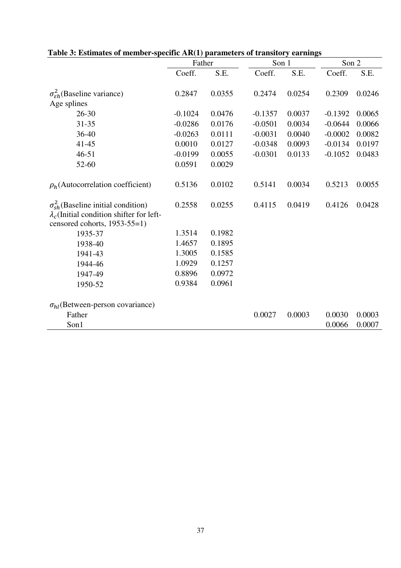|                                                  | Father    |        |           | Son 1  |           | Son 2  |  |
|--------------------------------------------------|-----------|--------|-----------|--------|-----------|--------|--|
|                                                  | Coeff.    | S.E.   | Coeff.    | S.E.   | Coeff.    | S.E.   |  |
|                                                  |           |        |           |        |           |        |  |
| $\sigma_{\rm sh}^2$ (Baseline variance)          | 0.2847    | 0.0355 | 0.2474    | 0.0254 | 0.2309    | 0.0246 |  |
| Age splines                                      |           |        |           |        |           |        |  |
| $26 - 30$                                        | $-0.1024$ | 0.0476 | $-0.1357$ | 0.0037 | $-0.1392$ | 0.0065 |  |
| $31 - 35$                                        | $-0.0286$ | 0.0176 | $-0.0501$ | 0.0034 | $-0.0644$ | 0.0066 |  |
| 36-40                                            | $-0.0263$ | 0.0111 | $-0.0031$ | 0.0040 | $-0.0002$ | 0.0082 |  |
| $41 - 45$                                        | 0.0010    | 0.0127 | $-0.0348$ | 0.0093 | $-0.0134$ | 0.0197 |  |
| $46 - 51$                                        | $-0.0199$ | 0.0055 | $-0.0301$ | 0.0133 | $-0.1052$ | 0.0483 |  |
| 52-60                                            | 0.0591    | 0.0029 |           |        |           |        |  |
| $\rho_h$ (Autocorrelation coefficient)           | 0.5136    | 0.0102 | 0.5141    | 0.0034 | 0.5213    | 0.0055 |  |
| $\sigma_{sh}^2$ (Baseline initial condition)     | 0.2558    | 0.0255 | 0.4115    | 0.0419 | 0.4126    | 0.0428 |  |
| $\lambda_c$ (Initial condition shifter for left- |           |        |           |        |           |        |  |
| censored cohorts, 1953-55=1)                     |           |        |           |        |           |        |  |
| 1935-37                                          | 1.3514    | 0.1982 |           |        |           |        |  |
| 1938-40                                          | 1.4657    | 0.1895 |           |        |           |        |  |
| 1941-43                                          | 1.3005    | 0.1585 |           |        |           |        |  |
| 1944-46                                          | 1.0929    | 0.1257 |           |        |           |        |  |
| 1947-49                                          | 0.8896    | 0.0972 |           |        |           |        |  |
| 1950-52                                          | 0.9384    | 0.0961 |           |        |           |        |  |
| $\sigma_{hl}$ (Between-person covariance)        |           |        |           |        |           |        |  |
| Father                                           |           |        | 0.0027    | 0.0003 | 0.0030    | 0.0003 |  |
| Son1                                             |           |        |           |        | 0.0066    | 0.0007 |  |

**Table 3: Estimates of member-specific AR(1) parameters of transitory earnings**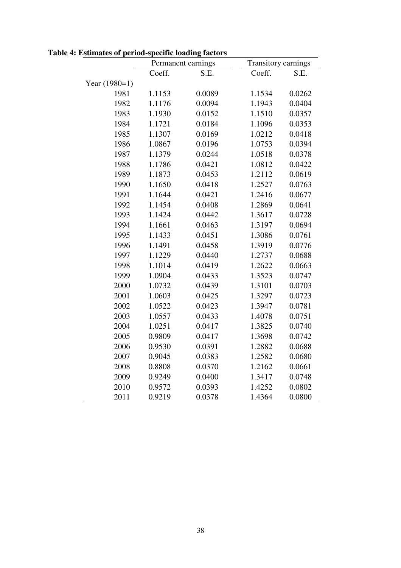|               | Permanent earnings |        | Transitory earnings |        |
|---------------|--------------------|--------|---------------------|--------|
|               | Coeff.             | S.E.   | Coeff.              | S.E.   |
| Year (1980=1) |                    |        |                     |        |
| 1981          | 1.1153             | 0.0089 | 1.1534              | 0.0262 |
| 1982          | 1.1176             | 0.0094 | 1.1943              | 0.0404 |
| 1983          | 1.1930             | 0.0152 | 1.1510              | 0.0357 |
| 1984          | 1.1721             | 0.0184 | 1.1096              | 0.0353 |
| 1985          | 1.1307             | 0.0169 | 1.0212              | 0.0418 |
| 1986          | 1.0867             | 0.0196 | 1.0753              | 0.0394 |
| 1987          | 1.1379             | 0.0244 | 1.0518              | 0.0378 |
| 1988          | 1.1786             | 0.0421 | 1.0812              | 0.0422 |
| 1989          | 1.1873             | 0.0453 | 1.2112              | 0.0619 |
| 1990          | 1.1650             | 0.0418 | 1.2527              | 0.0763 |
| 1991          | 1.1644             | 0.0421 | 1.2416              | 0.0677 |
| 1992          | 1.1454             | 0.0408 | 1.2869              | 0.0641 |
| 1993          | 1.1424             | 0.0442 | 1.3617              | 0.0728 |
| 1994          | 1.1661             | 0.0463 | 1.3197              | 0.0694 |
| 1995          | 1.1433             | 0.0451 | 1.3086              | 0.0761 |
| 1996          | 1.1491             | 0.0458 | 1.3919              | 0.0776 |
| 1997          | 1.1229             | 0.0440 | 1.2737              | 0.0688 |
| 1998          | 1.1014             | 0.0419 | 1.2622              | 0.0663 |
| 1999          | 1.0904             | 0.0433 | 1.3523              | 0.0747 |
| 2000          | 1.0732             | 0.0439 | 1.3101              | 0.0703 |
| 2001          | 1.0603             | 0.0425 | 1.3297              | 0.0723 |
| 2002          | 1.0522             | 0.0423 | 1.3947              | 0.0781 |
| 2003          | 1.0557             | 0.0433 | 1.4078              | 0.0751 |
| 2004          | 1.0251             | 0.0417 | 1.3825              | 0.0740 |
| 2005          | 0.9809             | 0.0417 | 1.3698              | 0.0742 |
| 2006          | 0.9530             | 0.0391 | 1.2882              | 0.0688 |
| 2007          | 0.9045             | 0.0383 | 1.2582              | 0.0680 |
| 2008          | 0.8808             | 0.0370 | 1.2162              | 0.0661 |
| 2009          | 0.9249             | 0.0400 | 1.3417              | 0.0748 |
| 2010          | 0.9572             | 0.0393 | 1.4252              | 0.0802 |
| 2011          | 0.9219             | 0.0378 | 1.4364              | 0.0800 |

**Table 4: Estimates of period-specific loading factors**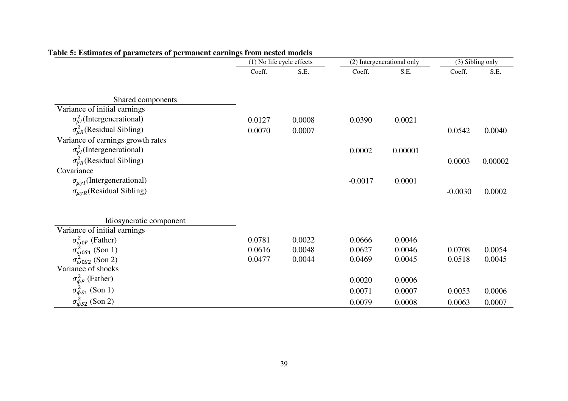| ulullevelə əl                           | (1) No life cycle effects |        | (2) Intergenerational only |         | (3) Sibling only |         |
|-----------------------------------------|---------------------------|--------|----------------------------|---------|------------------|---------|
|                                         | Coeff.                    | S.E.   | Coeff.                     | S.E.    | Coeff.           | S.E.    |
|                                         |                           |        |                            |         |                  |         |
| Shared components                       |                           |        |                            |         |                  |         |
| Variance of initial earnings            |                           |        |                            |         |                  |         |
| $\sigma_{\mu}^2$ (Intergenerational)    | 0.0127                    | 0.0008 | 0.0390                     | 0.0021  |                  |         |
| $\sigma_{\mu R}^2$ (Residual Sibling)   | 0.0070                    | 0.0007 |                            |         | 0.0542           | 0.0040  |
| Variance of earnings growth rates       |                           |        |                            |         |                  |         |
| $\sigma_{\nu}^2$ (Intergenerational)    |                           |        | 0.0002                     | 0.00001 |                  |         |
| $\sigma_{vR}^2$ (Residual Sibling)      |                           |        |                            |         | 0.0003           | 0.00002 |
| Covariance                              |                           |        |                            |         |                  |         |
| $\sigma_{\mu\nu I}$ (Intergenerational) |                           |        | $-0.0017$                  | 0.0001  |                  |         |
| $\sigma_{\mu\nu R}$ (Residual Sibling)  |                           |        |                            |         | $-0.0030$        | 0.0002  |
| Idiosyncratic component                 |                           |        |                            |         |                  |         |
| Variance of initial earnings            |                           |        |                            |         |                  |         |
| $\sigma_{\omega 0F}^2$ (Father)         | 0.0781                    | 0.0022 | 0.0666                     | 0.0046  |                  |         |
| $\sigma_{\omega 0S1}^2$ (Son 1)         | 0.0616                    | 0.0048 | 0.0627                     | 0.0046  | 0.0708           | 0.0054  |
| $\sigma_{\omega 0S2}^2$ (Son 2)         | 0.0477                    | 0.0044 | 0.0469                     | 0.0045  | 0.0518           | 0.0045  |
| Variance of shocks                      |                           |        |                            |         |                  |         |
| $\sigma_{\phi}^2$ (Father)              |                           |        | 0.0020                     | 0.0006  |                  |         |
| $\sigma_{\phi S1}^2$ (Son 1)            |                           |        | 0.0071                     | 0.0007  | 0.0053           | 0.0006  |
| $\sigma_{\phi S2}^2$ (Son 2)            |                           |        | 0.0079                     | 0.0008  | 0.0063           | 0.0007  |

#### **Table 5: Estimates of parameters of permanent earnings from nested models**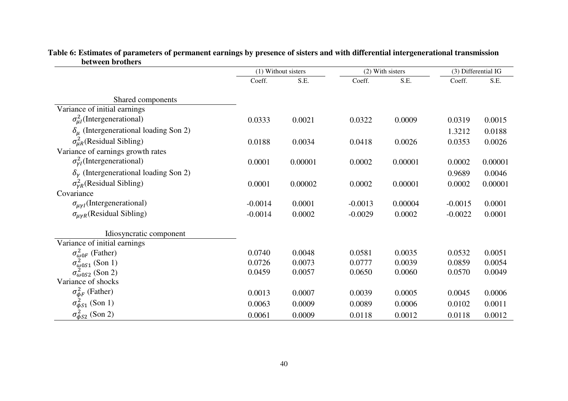|                                                  | (1) Without sisters |         | (2) With sisters |         | (3) Differential IG |         |
|--------------------------------------------------|---------------------|---------|------------------|---------|---------------------|---------|
|                                                  | Coeff.              | S.E.    | Coeff.           | S.E.    | Coeff.              | S.E.    |
| Shared components                                |                     |         |                  |         |                     |         |
| Variance of initial earnings                     |                     |         |                  |         |                     |         |
| $\sigma_{\mu}^2$ (Intergenerational)             | 0.0333              | 0.0021  | 0.0322           | 0.0009  | 0.0319              | 0.0015  |
| $\delta_{\mu}$ (Intergenerational loading Son 2) |                     |         |                  |         | 1.3212              | 0.0188  |
| $\sigma_{\mu R}^2$ (Residual Sibling)            | 0.0188              | 0.0034  | 0.0418           | 0.0026  | 0.0353              | 0.0026  |
| Variance of earnings growth rates                |                     |         |                  |         |                     |         |
| $\sigma_{\nu I}^2$ (Intergenerational)           | 0.0001              | 0.00001 | 0.0002           | 0.00001 | 0.0002              | 0.00001 |
| $\delta_{\nu}$ (Intergenerational loading Son 2) |                     |         |                  |         | 0.9689              | 0.0046  |
| $\sigma_{vR}^2$ (Residual Sibling)               | 0.0001              | 0.00002 | 0.0002           | 0.00001 | 0.0002              | 0.00001 |
| Covariance                                       |                     |         |                  |         |                     |         |
| $\sigma_{\mu\nu I}$ (Intergenerational)          | $-0.0014$           | 0.0001  | $-0.0013$        | 0.00004 | $-0.0015$           | 0.0001  |
| $\sigma_{\mu\nu R}$ (Residual Sibling)           | $-0.0014$           | 0.0002  | $-0.0029$        | 0.0002  | $-0.0022$           | 0.0001  |
| Idiosyncratic component                          |                     |         |                  |         |                     |         |
| Variance of initial earnings                     |                     |         |                  |         |                     |         |
| $\sigma_{\omega 0F}^2$ (Father)                  | 0.0740              | 0.0048  | 0.0581           | 0.0035  | 0.0532              | 0.0051  |
| $\sigma_{\omega 0S1}^2$ (Son 1)                  | 0.0726              | 0.0073  | 0.0777           | 0.0039  | 0.0859              | 0.0054  |
| $\sigma_{\omega 0S2}^2$ (Son 2)                  | 0.0459              | 0.0057  | 0.0650           | 0.0060  | 0.0570              | 0.0049  |
| Variance of shocks                               |                     |         |                  |         |                     |         |
| $\sigma_{\phi}^2$ (Father)                       | 0.0013              | 0.0007  | 0.0039           | 0.0005  | 0.0045              | 0.0006  |
| $\sigma_{\phi S1}^2$ (Son 1)                     | 0.0063              | 0.0009  | 0.0089           | 0.0006  | 0.0102              | 0.0011  |
| $\sigma_{\phi S2}^2$ (Son 2)                     | 0.0061              | 0.0009  | 0.0118           | 0.0012  | 0.0118              | 0.0012  |

#### **Table 6: Estimates of parameters of permanent earnings by presence of sisters and with differential intergenerational transmission between brothers**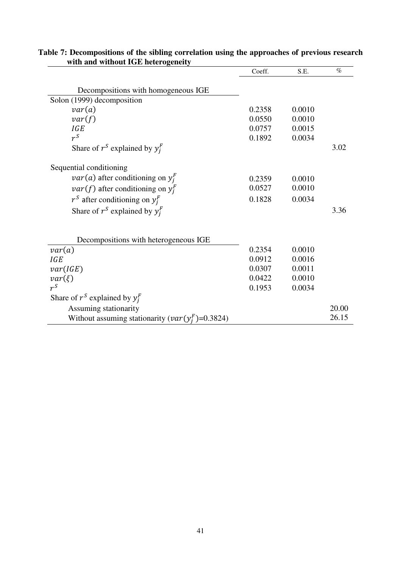|                                                     | Coeff. | S.E.   | $\%$  |
|-----------------------------------------------------|--------|--------|-------|
|                                                     |        |        |       |
| Decompositions with homogeneous IGE                 |        |        |       |
| Solon (1999) decomposition                          |        |        |       |
| var(a)                                              | 0.2358 | 0.0010 |       |
| var(f)                                              | 0.0550 | 0.0010 |       |
| <b>IGE</b>                                          | 0.0757 | 0.0015 |       |
| $r^s$                                               | 0.1892 | 0.0034 |       |
| Share of $r^s$ explained by $y_i^F$                 |        |        | 3.02  |
| Sequential conditioning                             |        |        |       |
| $var(a)$ after conditioning on $y_i^F$              | 0.2359 | 0.0010 |       |
| $var(f)$ after conditioning on $y_i^F$              | 0.0527 | 0.0010 |       |
| $r^S$ after conditioning on $y_i^F$                 | 0.1828 | 0.0034 |       |
| Share of $r^s$ explained by $y_i^F$                 |        |        | 3.36  |
| Decompositions with heterogeneous IGE               |        |        |       |
| var(a)                                              | 0.2354 | 0.0010 |       |
| <b>IGE</b>                                          | 0.0912 | 0.0016 |       |
| var(IGE)                                            | 0.0307 | 0.0011 |       |
| $var(\xi)$                                          | 0.0422 | 0.0010 |       |
| $r^{S}$                                             | 0.1953 | 0.0034 |       |
| Share of $r^s$ explained by $y_i^F$                 |        |        |       |
| Assuming stationarity                               |        |        | 20.00 |
| Without assuming stationarity $(var(y_i^F)=0.3824)$ |        |        | 26.15 |

#### **Table 7: Decompositions of the sibling correlation using the approaches of previous research with and without IGE heterogeneity**   $\overline{\phantom{a}}$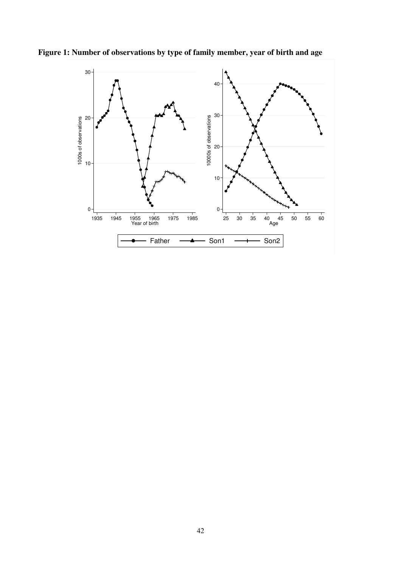

**Figure 1: Number of observations by type of family member, year of birth and age**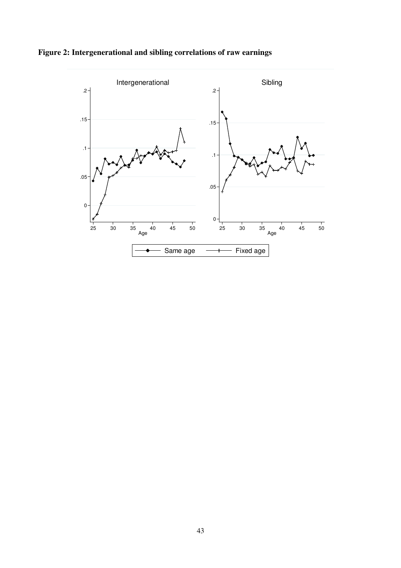

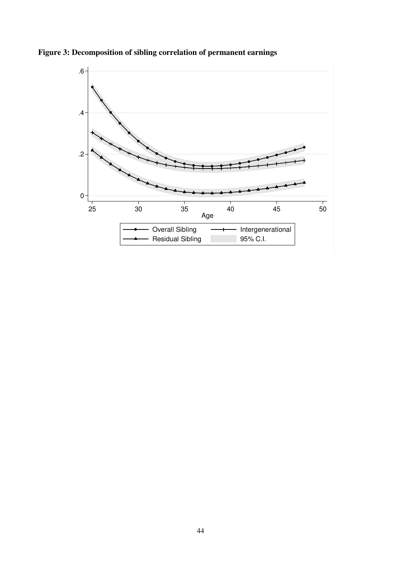

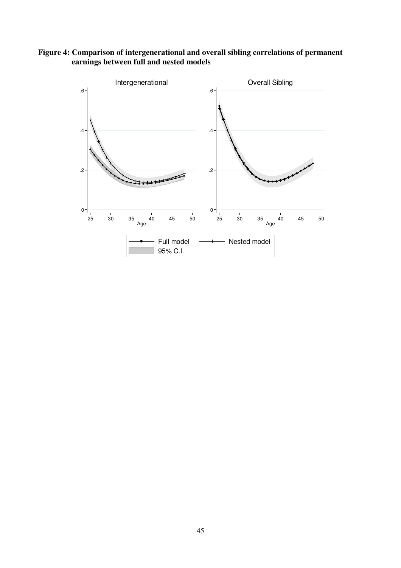**Figure 4: Comparison of intergenerational and overall sibling correlations of permanent earnings between full and nested models** 

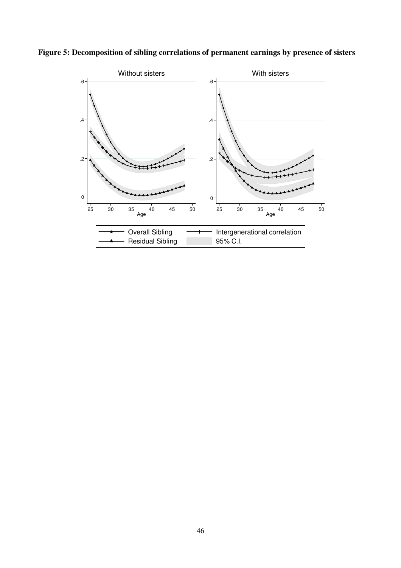**Figure 5: Decomposition of sibling correlations of permanent earnings by presence of sisters** 

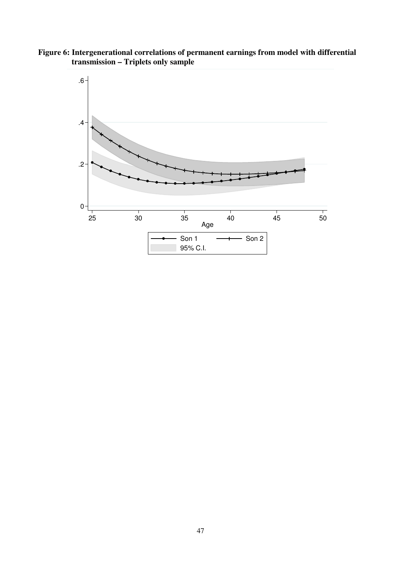**Figure 6: Intergenerational correlations of permanent earnings from model with differential transmission – Triplets only sample**